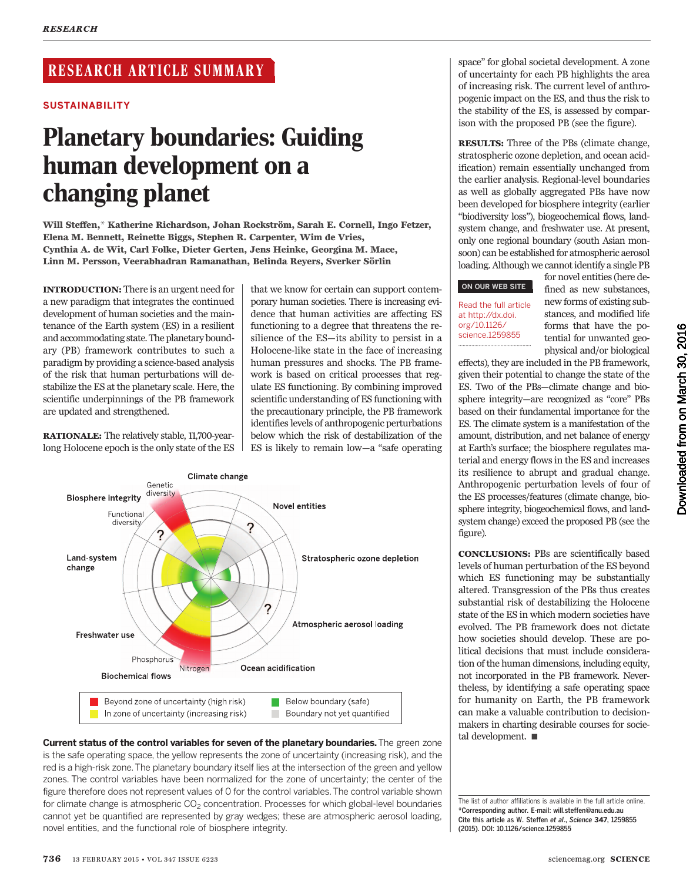## RESEARCH ARTICLE SUMMARY

#### SUSTAINABILITY

# Planetary boundaries: Guiding human development on a changing planet

Will Steffen,\* Katherine Richardson, Johan Rockström, Sarah E. Cornell, Ingo Fetzer, Elena M. Bennett, Reinette Biggs, Stephen R. Carpenter, Wim de Vries, Cynthia A. de Wit, Carl Folke, Dieter Gerten, Jens Heinke, Georgina M. Mace, Linn M. Persson, Veerabhadran Ramanathan, Belinda Reyers, Sverker Sörlin

INTRODUCTION: There is an urgent need for a new paradigm that integrates the continued development of human societies and the maintenance of the Earth system (ES) in a resilient and accommodating state. The planetary boundary (PB) framework contributes to such a paradigm by providing a science-based analysis of the risk that human perturbations will destabilize the ES at the planetary scale. Here, the scientific underpinnings of the PB framework are updated and strengthened.

RATIONALE: The relatively stable, 11,700-yearlong Holocene epoch is the only state of the ES

that we know for certain can support contemporary human societies. There is increasing evidence that human activities are affecting ES functioning to a degree that threatens the resilience of the ES—its ability to persist in a Holocene-like state in the face of increasing human pressures and shocks. The PB framework is based on critical processes that regulate ES functioning. By combining improved scientific understanding of ES functioning with the precautionary principle, the PB framework identifies levels of anthropogenic perturbations below which the risk of destabilization of the ES is likely to remain low—a "safe operating



Current status of the control variables for seven of the planetary boundaries. The green zone is the safe operating space, the yellow represents the zone of uncertainty (increasing risk), and the red is a high-risk zone. The planetary boundary itself lies at the intersection of the green and yellow zones. The control variables have been normalized for the zone of uncertainty; the center of the figure therefore does not represent values of 0 for the control variables. The control variable shown for climate change is atmospheric  $CO<sub>2</sub>$  concentration. Processes for which global-level boundaries cannot yet be quantified are represented by gray wedges; these are atmospheric aerosol loading, novel entities, and the functional role of biosphere integrity.

space" for global societal development. A zone of uncertainty for each PB highlights the area of increasing risk. The current level of anthropogenic impact on the ES, and thus the risk to the stability of the ES, is assessed by comparison with the proposed PB (see the figure).

RESULTS: Three of the PBs (climate change, stratospheric ozone depletion, and ocean acidification) remain essentially unchanged from the earlier analysis. Regional-level boundaries as well as globally aggregated PBs have now been developed for biosphere integrity (earlier "biodiversity loss"), biogeochemical flows, landsystem change, and freshwater use. At present, only one regional boundary (south Asian monsoon) can be established for atmospheric aerosol loading. Although we cannot identify a single PB

#### ON OUR WEB SITE Read the full article at http://dx.doi. org/10.1126/ science.1259855

..................................................

for novel entities (here defined as new substances, new forms of existing substances, and modified life forms that have the potential for unwanted geophysical and/or biological

effects), they are included in the PB framework, given their potential to change the state of the ES. Two of the PBs—climate change and biosphere integrity—are recognized as "core" PBs based on their fundamental importance for the ES. The climate system is a manifestation of the amount, distribution, and net balance of energy at Earth's surface; the biosphere regulates material and energy flows in the ES and increases its resilience to abrupt and gradual change. Anthropogenic perturbation levels of four of the ES processes/features (climate change, biosphere integrity, biogeochemical flows, and landsystem change) exceed the proposed PB (see the figure).

CONCLUSIONS: PBs are scientifically based levels of human perturbation of the ES beyond which ES functioning may be substantially altered. Transgression of the PBs thus creates substantial risk of destabilizing the Holocene state of the ES in which modern societies have evolved. The PB framework does not dictate how societies should develop. These are political decisions that must include consideration of the human dimensions, including equity, not incorporated in the PB framework. Nevertheless, by identifying a safe operating space for humanity on Earth, the PB framework can make a valuable contribution to decisionmakers in charting desirable courses for societal development.  $\blacksquare$ 

The list of author affiliations is available in the full article online. \*Corresponding author. E-mail: will.steffen@anu.edu.au Cite this article as W. Steffen et al., Science 347, 1259855 (2015). DOI: 10.1126/science.1259855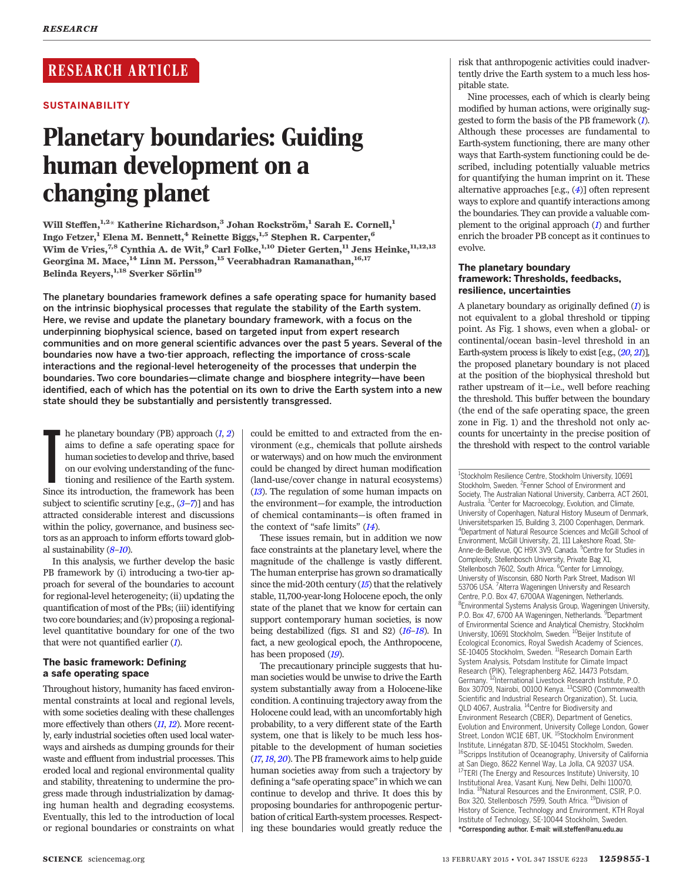## RESEARCH ARTICLE

### SUSTAINABILITY

# Planetary boundaries: Guiding human development on a changing planet

Will Steffen,<sup>1,2\*</sup> Katherine Richardson,<sup>3</sup> Johan Rockström,<sup>1</sup> Sarah E. Cornell,<sup>1</sup> Ingo Fetzer, $^1$  Elena M. Bennett, $^4$  Reinette Biggs, $^{1,5}$  Stephen R. Carpenter, $^6$ Wim de Vries, $^{7,8}$  Cynthia A. de Wit, $^9$  Carl Folke, $^{1,10}$  Dieter Gerten, $^{\rm 11}$  Jens Heinke, $^{\rm 11,12,13}$ Georgina M. Mace, <sup>14</sup> Linn M. Persson, <sup>15</sup> Veerabhadran Ramanathan, <sup>16,17</sup> Belinda Reyers, 1,18 Sverker Sörlin<sup>19</sup>

The planetary boundaries framework defines a safe operating space for humanity based on the intrinsic biophysical processes that regulate the stability of the Earth system. Here, we revise and update the planetary boundary framework, with a focus on the underpinning biophysical science, based on targeted input from expert research communities and on more general scientific advances over the past 5 years. Several of the boundaries now have a two-tier approach, reflecting the importance of cross-scale interactions and the regional-level heterogeneity of the processes that underpin the boundaries. Two core boundaries—climate change and biosphere integrity—have been identified, each of which has the potential on its own to drive the Earth system into a new state should they be substantially and persistently transgressed.

**The planetary boundary (PB) approach (1, 2)**<br>
aims to define a safe operating space for<br>
human societies to develop and thrive, based<br>
on our evolving understanding of the func-<br>
tioning and resilience of the Earth system he planetary boundary (PB) approach  $(I, 2)$  $(I, 2)$  $(I, 2)$ aims to define a safe operating space for human societies to develop and thrive, based on our evolving understanding of the functioning and resilience of the Earth system. subject to scientific scrutiny [e.g.,  $(3-7)$  $(3-7)$  $(3-7)$  $(3-7)$  $(3-7)$ ] and has attracted considerable interest and discussions within the policy, governance, and business sectors as an approach to inform efforts toward global sustainability  $(8-10)$  $(8-10)$  $(8-10)$  $(8-10)$  $(8-10)$ .

In this analysis, we further develop the basic PB framework by (i) introducing a two-tier approach for several of the boundaries to account for regional-level heterogeneity; (ii) updating the quantification of most of the PBs; (iii) identifying two core boundaries; and (iv) proposing a regionallevel quantitative boundary for one of the two that were not quantified earlier  $(I)$ .

#### The basic framework: Defining a safe operating space

Throughout history, humanity has faced environmental constraints at local and regional levels, with some societies dealing with these challenges more effectively than others ([11](#page-9-0), [12](#page-9-0)). More recently, early industrial societies often used local waterways and airsheds as dumping grounds for their waste and effluent from industrial processes. This eroded local and regional environmental quality and stability, threatening to undermine the progress made through industrialization by damaging human health and degrading ecosystems. Eventually, this led to the introduction of local or regional boundaries or constraints on what

could be emitted to and extracted from the environment (e.g., chemicals that pollute airsheds or waterways) and on how much the environment could be changed by direct human modification (land-use/cover change in natural ecosystems)  $(13)$  $(13)$  $(13)$ . The regulation of some human impacts on the environment—for example, the introduction of chemical contaminants—is often framed in the context of "safe limits" ([14](#page-9-0)).

These issues remain, but in addition we now face constraints at the planetary level, where the magnitude of the challenge is vastly different. The human enterprise has grown so dramatically since the mid-20th century  $(15)$  $(15)$  $(15)$  that the relatively stable, 11,700-year-long Holocene epoch, the only state of the planet that we know for certain can support contemporary human societies, is now being destabilized (figs. S1 and S2)  $(16-18)$  $(16-18)$  $(16-18)$  $(16-18)$  $(16-18)$ . In fact, a new geological epoch, the Anthropocene, has been proposed ([19](#page-9-0)).

The precautionary principle suggests that human societies would be unwise to drive the Earth system substantially away from a Holocene-like condition. A continuing trajectory away from the Holocene could lead, with an uncomfortably high probability, to a very different state of the Earth system, one that is likely to be much less hospitable to the development of human societies ([17](#page-9-0),[18](#page-9-0), [20](#page-9-0)). The PB framework aims to help guide human societies away from such a trajectory by defining a "safe operating space"in which we can continue to develop and thrive. It does this by proposing boundaries for anthropogenic perturbation of critical Earth-system processes. Respecting these boundaries would greatly reduce the

risk that anthropogenic activities could inadvertently drive the Earth system to a much less hospitable state.

Nine processes, each of which is clearly being modified by human actions, were originally suggested to form the basis of the PB framework ([1](#page-9-0)). Although these processes are fundamental to Earth-system functioning, there are many other ways that Earth-system functioning could be described, including potentially valuable metrics for quantifying the human imprint on it. These alternative approaches [e.g., ([4](#page-9-0))] often represent ways to explore and quantify interactions among the boundaries. They can provide a valuable complement to the original approach  $(I)$  and further enrich the broader PB concept as it continues to evolve.

#### The planetary boundary framework: Thresholds, feedbacks, resilience, uncertainties

A planetary boundary as originally defined  $(I)$  is not equivalent to a global threshold or tipping point. As Fig. 1 shows, even when a global- or continental/ocean basin–level threshold in an Earth-system process is likely to exist [e.g.,  $(20, 21)$  $(20, 21)$  $(20, 21)$  $(20, 21)$  $(20, 21)$ ], the proposed planetary boundary is not placed at the position of the biophysical threshold but rather upstream of it—i.e., well before reaching the threshold. This buffer between the boundary (the end of the safe operating space, the green zone in Fig. 1) and the threshold not only accounts for uncertainty in the precise position of the threshold with respect to the control variable

<sup>1</sup>Stockholm Resilience Centre, Stockholm University, 10691 Stockholm, Sweden. <sup>2</sup>Fenner School of Environment and Society, The Australian National University, Canberra, ACT 2601, Australia. <sup>3</sup>Center for Macroecology, Evolution, and Climate, University of Copenhagen, Natural History Museum of Denmark, Universitetsparken 15, Building 3, 2100 Copenhagen, Denmark. 4 Department of Natural Resource Sciences and McGill School of Environment, McGill University, 21, 111 Lakeshore Road, Ste-Anne-de-Bellevue, QC H9X 3V9, Canada. <sup>5</sup>Centre for Studies in Complexity, Stellenbosch University, Private Bag X1, Stellenbosch 7602, South Africa. <sup>6</sup>Center for Limnology, University of Wisconsin, 680 North Park Street, Madison WI 53706 USA. <sup>7</sup> Alterra Wageningen University and Research Centre, P.O. Box 47, 6700AA Wageningen, Netherlands. <sup>8</sup>Environmental Systems Analysis Group, Wageningen University,<br>P.O. Box 47, 6700 AA Wageningen, Netherlands. <sup>9</sup>Department of Environmental Science and Analytical Chemistry, Stockholm<br>University, 10691 Stockholm, Sweden. <sup>10</sup>Beijer Institute of Ecological Economics, Royal Swedish Academy of Sciences, SE-10405 Stockholm, Sweden. <sup>11</sup>Research Domain Earth System Analysis, Potsdam Institute for Climate Impact Research (PIK), Telegraphenberg A62, 14473 Potsdam, Germany. <sup>12</sup>International Livestock Research Institute, P.O.<br>Box 30709, Nairobi, 00100 Kenya. <sup>13</sup>CSIRO (Commonwealth Scientific and Industrial Research Organization), St. Lucia, OLD 4067, Australia. <sup>14</sup>Centre for Biodiversity and Environment Research (CBER), Department of Genetics, Evolution and Environment, University College London, Gower<br>Street, London WC1E 6BT, UK. <sup>15</sup>Stockholm Environment Institute, Linnégatan 87D, SE-10451 Stockholm, Sweden. <sup>16</sup>Scripps Institution of Oceanography, University of California at San Diego, 8622 Kennel Way, La Jolla, CA 92037 USA. <sup>17</sup>TERI (The Energy and Resources Institute) University, 10 Institutional Area, Vasant Kunj, New Delhi, Delhi 110070, India. 18Natural Resources and the Environment, CSIR, P.O. Box 320, Stellenbosch 7599, South Africa. <sup>19</sup>Division of History of Science, Technology and Environment, KTH Royal Institute of Technology, SE-10044 Stockholm, Sweden. \*Corresponding author. E-mail: will.steffen@anu.edu.au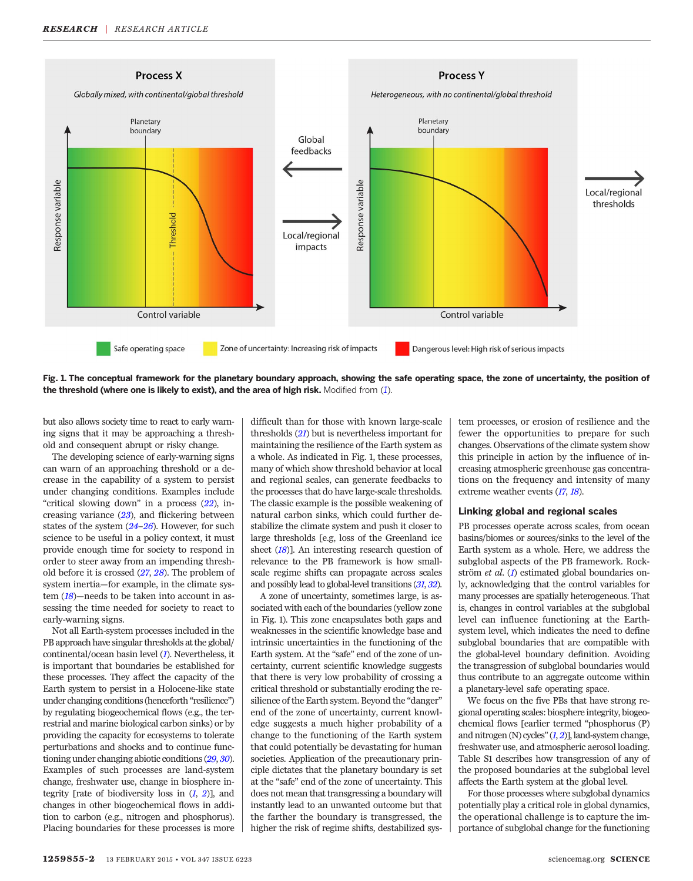

Fig. 1. The conceptual framework for the planetary boundary approach, showing the safe operating space, the zone of uncertainty, the position of the threshold (where one is likely to exist), and the area of high risk. Modified from ([1](#page-9-0)).

but also allows society time to react to early warning signs that it may be approaching a threshold and consequent abrupt or risky change.

The developing science of early-warning signs can warn of an approaching threshold or a decrease in the capability of a system to persist under changing conditions. Examples include "critical slowing down" in a process  $(22)$  $(22)$  $(22)$ , increasing variance ([23](#page-9-0)), and flickering between states of the system ([24](#page-9-0)–[26](#page-9-0)). However, for such science to be useful in a policy context, it must provide enough time for society to respond in order to steer away from an impending threshold before it is crossed ([27](#page-9-0), [28](#page-9-0)). The problem of system inertia—for example, in the climate system  $(18)$  $(18)$  $(18)$ —needs to be taken into account in assessing the time needed for society to react to early-warning signs.

Not all Earth-system processes included in the PB approach have singular thresholds at the global/ continental/ocean basin level (*I*). Nevertheless, it is important that boundaries be established for these processes. They affect the capacity of the Earth system to persist in a Holocene-like state under changing conditions (henceforth "resilience") by regulating biogeochemical flows (e.g., the terrestrial and marine biological carbon sinks) or by providing the capacity for ecosystems to tolerate perturbations and shocks and to continue functioning under changing abiotic conditions ([29](#page-9-0), [30](#page-9-0)). Examples of such processes are land-system change, freshwater use, change in biosphere integrity [rate of biodiversity loss in  $(1, 2)$  $(1, 2)$  $(1, 2)$  $(1, 2)$  $(1, 2)$ ], and changes in other biogeochemical flows in addition to carbon (e.g., nitrogen and phosphorus). Placing boundaries for these processes is more

difficult than for those with known large-scale thresholds ([21](#page-9-0)) but is nevertheless important for maintaining the resilience of the Earth system as a whole. As indicated in Fig. 1, these processes, many of which show threshold behavior at local and regional scales, can generate feedbacks to the processes that do have large-scale thresholds. The classic example is the possible weakening of natural carbon sinks, which could further destabilize the climate system and push it closer to large thresholds [e.g, loss of the Greenland ice sheet  $(18)$  $(18)$  $(18)$ ]. An interesting research question of relevance to the PB framework is how smallscale regime shifts can propagate across scales and possibly lead to global-level transitions ([31](#page-9-0), [32](#page-9-0)).

A zone of uncertainty, sometimes large, is associated with each of the boundaries (yellow zone in Fig. 1). This zone encapsulates both gaps and weaknesses in the scientific knowledge base and intrinsic uncertainties in the functioning of the Earth system. At the "safe" end of the zone of uncertainty, current scientific knowledge suggests that there is very low probability of crossing a critical threshold or substantially eroding the resilience of the Earth system. Beyond the "danger" end of the zone of uncertainty, current knowledge suggests a much higher probability of a change to the functioning of the Earth system that could potentially be devastating for human societies. Application of the precautionary principle dictates that the planetary boundary is set at the "safe" end of the zone of uncertainty. This does not mean that transgressing a boundary will instantly lead to an unwanted outcome but that the farther the boundary is transgressed, the higher the risk of regime shifts, destabilized sys-

tem processes, or erosion of resilience and the fewer the opportunities to prepare for such changes. Observations of the climate system show this principle in action by the influence of increasing atmospheric greenhouse gas concentrations on the frequency and intensity of many extreme weather events ([17](#page-9-0), [18](#page-9-0)).

#### Linking global and regional scales

PB processes operate across scales, from ocean basins/biomes or sources/sinks to the level of the Earth system as a whole. Here, we address the subglobal aspects of the PB framework. Rockström et al. ([1](#page-9-0)) estimated global boundaries only, acknowledging that the control variables for many processes are spatially heterogeneous. That is, changes in control variables at the subglobal level can influence functioning at the Earthsystem level, which indicates the need to define subglobal boundaries that are compatible with the global-level boundary definition. Avoiding the transgression of subglobal boundaries would thus contribute to an aggregate outcome within a planetary-level safe operating space.

We focus on the five PBs that have strong regional operating scales: biosphere integrity, biogeochemical flows [earlier termed "phosphorus (P) and nitrogen  $(N)$  cycles" $(I, 2)$  $(I, 2)$  $(I, 2)$ ], land-system change, freshwater use, and atmospheric aerosol loading. Table S1 describes how transgression of any of the proposed boundaries at the subglobal level affects the Earth system at the global level.

For those processes where subglobal dynamics potentially play a critical role in global dynamics, the operational challenge is to capture the importance of subglobal change for the functioning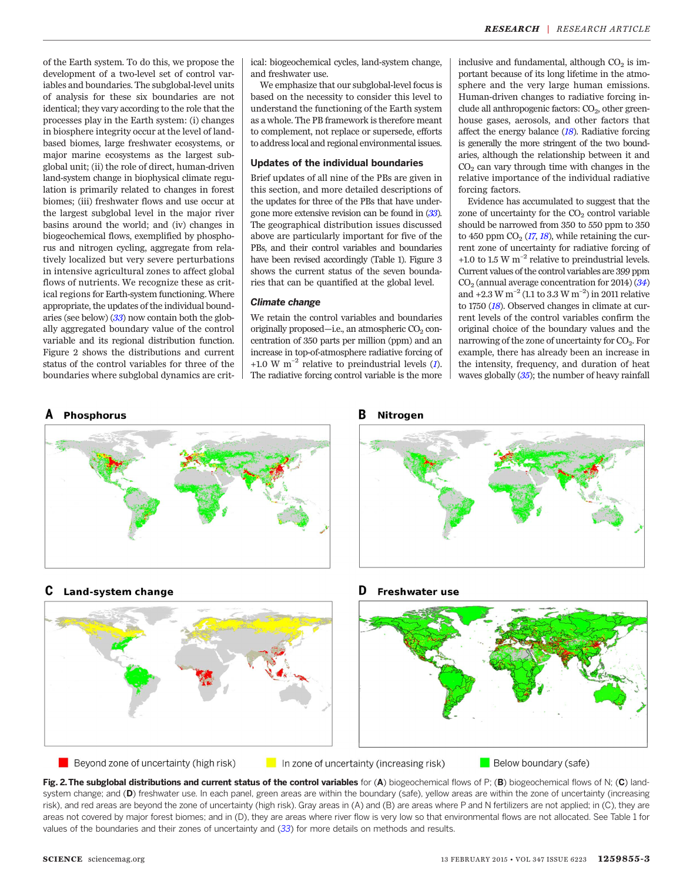of the Earth system. To do this, we propose the development of a two-level set of control variables and boundaries. The subglobal-level units of analysis for these six boundaries are not identical; they vary according to the role that the processes play in the Earth system: (i) changes in biosphere integrity occur at the level of landbased biomes, large freshwater ecosystems, or major marine ecosystems as the largest subglobal unit; (ii) the role of direct, human-driven land-system change in biophysical climate regulation is primarily related to changes in forest biomes; (iii) freshwater flows and use occur at the largest subglobal level in the major river basins around the world; and (iv) changes in biogeochemical flows, exemplified by phosphorus and nitrogen cycling, aggregate from relatively localized but very severe perturbations in intensive agricultural zones to affect global flows of nutrients. We recognize these as critical regions for Earth-system functioning. Where appropriate, the updates of the individual boundaries (see below)  $(33)$  $(33)$  $(33)$  now contain both the globally aggregated boundary value of the control variable and its regional distribution function. Figure 2 shows the distributions and current status of the control variables for three of the boundaries where subglobal dynamics are critical: biogeochemical cycles, land-system change, and freshwater use.

We emphasize that our subglobal-level focus is based on the necessity to consider this level to understand the functioning of the Earth system as a whole. The PB framework is therefore meant to complement, not replace or supersede, efforts to address local and regional environmental issues.

#### Updates of the individual boundaries

Brief updates of all nine of the PBs are given in this section, and more detailed descriptions of the updates for three of the PBs that have undergone more extensive revision can be found in ([33](#page-9-0)). The geographical distribution issues discussed above are particularly important for five of the PBs, and their control variables and boundaries have been revised accordingly (Table 1). Figure 3 shows the current status of the seven boundaries that can be quantified at the global level.

#### Climate change

We retain the control variables and boundaries originally proposed—i.e., an atmospheric  $CO<sub>2</sub>$  concentration of 350 parts per million (ppm) and an increase in top-of-atmosphere radiative forcing of +[1](#page-9-0).0 W  $m^{-2}$  relative to preindustrial levels (1). The radiative forcing control variable is the more inclusive and fundamental, although  $CO<sub>2</sub>$  is important because of its long lifetime in the atmosphere and the very large human emissions. Human-driven changes to radiative forcing include all anthropogenic factors:  $CO<sub>2</sub>$ , other greenhouse gases, aerosols, and other factors that affect the energy balance  $(18)$  $(18)$  $(18)$ . Radiative forcing is generally the more stringent of the two boundaries, although the relationship between it and  $CO<sub>2</sub>$  can vary through time with changes in the relative importance of the individual radiative forcing factors.

Evidence has accumulated to suggest that the zone of uncertainty for the  $CO<sub>2</sub>$  control variable should be narrowed from 350 to 550 ppm to 350 to 450 ppm  $CO<sub>2</sub>$  ([17](#page-9-0), [18](#page-9-0)), while retaining the current zone of uncertainty for radiative forcing of +1.0 to 1.5 W  $\mathrm{m}^{-2}$  relative to preindustrial levels. Current values of the control variables are 399 ppm  $CO<sub>2</sub>$  (annual average concentration for 2014) ([34](#page-9-0)) and +2.3 W  $\mathrm{m}^{-2}$  (1.1 to 3.3 W  $\mathrm{m}^{-2})$  in 2011 relative to 1750 ([18](#page-9-0)). Observed changes in climate at current levels of the control variables confirm the original choice of the boundary values and the narrowing of the zone of uncertainty for  $CO<sub>2</sub>$ . For example, there has already been an increase in the intensity, frequency, and duration of heat waves globally ([35](#page-9-0)); the number of heavy rainfall

#### **Phosphorus** A



#### B **Nitrogen**



**Land-system change** 



D

**Freshwater use** 

Fig. 2. The subglobal distributions and current status of the control variables for  $(A)$  biogeochemical flows of P;  $(B)$  biogeochemical flows of N;  $(C)$  landsystem change; and (D) freshwater use. In each panel, green areas are within the boundary (safe), yellow areas are within the zone of uncertainty (increasing risk), and red areas are beyond the zone of uncertainty (high risk). Gray areas in (A) and (B) are areas where P and N fertilizers are not applied; in (C), they are areas not covered by major forest biomes; and in (D), they are areas where river flow is very low so that environmental flows are not allocated. See Table 1 for values of the boundaries and their zones of uncertainty and ([33](#page-9-0)) for more details on methods and results.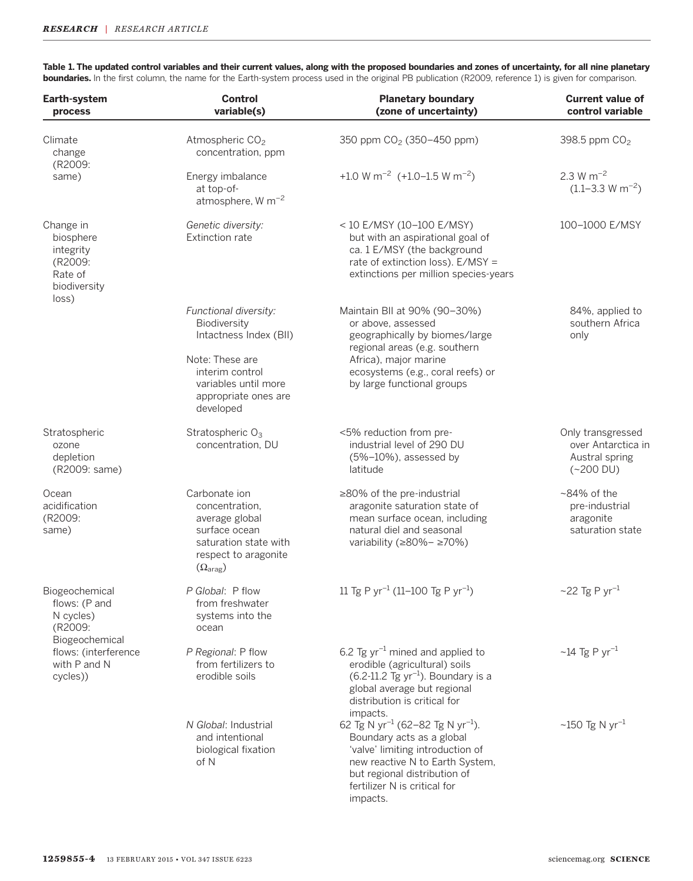Earth-system process Control variable(s) Planetary boundary (zone of uncertainty) Current value of control variable Climate change (R2009: same) Atmospheric CO<sub>2</sub> concentration, ppm Energy imbalance at top-ofatmosphere, W m–<sup>2</sup>  $350$  ppm  $CO<sub>2</sub>$  (350–450 ppm) +1.0 W m<sup>-2</sup> (+1.0-1.5 W m<sup>-2</sup>)  $398.5$  ppm  $CO<sub>2</sub>$  $2.3 W m<sup>-2</sup>$  $(1.1 - 3.3 \text{ W m}^{-2})$ Change in biosphere integrity (R2009: Rate of biodiversity loss) Genetic diversity: Extinction rate Functional diversity: **Biodiversity** Intactness Index (BII) Note: These are interim control variables until more appropriate ones are developed < 10 E/MSY (10–100 E/MSY) but with an aspirational goal of ca. 1 E/MSY (the background rate of extinction loss). E/MSY = extinctions per million species-years Maintain BII at 90% (90–30%) or above, assessed geographically by biomes/large regional areas (e.g. southern Africa), major marine ecosystems (e.g., coral reefs) or by large functional groups 100–1000 E/MSY 84%, applied to southern Africa only **Stratospheric** ozone depletion (R2009: same) Stratospheric  $O<sub>3</sub>$ concentration, DU <5% reduction from preindustrial level of 290 DU (5%–10%), assessed by latitude Only transgressed over Antarctica in Austral spring (~200 DU) Ocean acidification (R2009: same) Carbonate ion concentration, average global surface ocean saturation state with respect to aragonite  $(\Omega_{\text{drag}})$ ≥80% of the pre-industrial aragonite saturation state of mean surface ocean, including natural diel and seasonal variability (≥80%– ≥70%) ~84% of the pre-industrial aragonite saturation state Biogeochemical flows: (P and N cycles) (R2009: Biogeochemical flows: (interference with P and N cycles)) P Global: P flow from freshwater systems into the ocean P Regional: P flow from fertilizers to erodible soils N Global: Industrial and intentional biological fixation of N 11 Tg P yr<sup>-1</sup> (11–100 Tg P yr<sup>-1</sup>) 6.2 Tg  $yr^{-1}$  mined and applied to erodible (agricultural) soils  $(6.2\n-11.2 \text{ Tg yr}^{-1})$ . Boundary is a global average but regional distribution is critical for impacts. 62 Tg N yr<sup>-1</sup> (62–82 Tg N yr<sup>-1</sup>). Boundary acts as a global 'valve' limiting introduction of new reactive N to Earth System, but regional distribution of fertilizer N is critical for  $-22$  Tg P yr<sup>-1</sup>  $\sim$ 14 Tg P vr $^{-1}$  $~150$  Tg N  $\text{vr}^{-1}$ 

impacts.

Table 1. The updated control variables and their current values, along with the proposed boundaries and zones of uncertainty, for all nine planetary **boundaries.** In the first column, the name for the Earth-system process used in the original PB publication (R2009, reference 1) is given for comparison.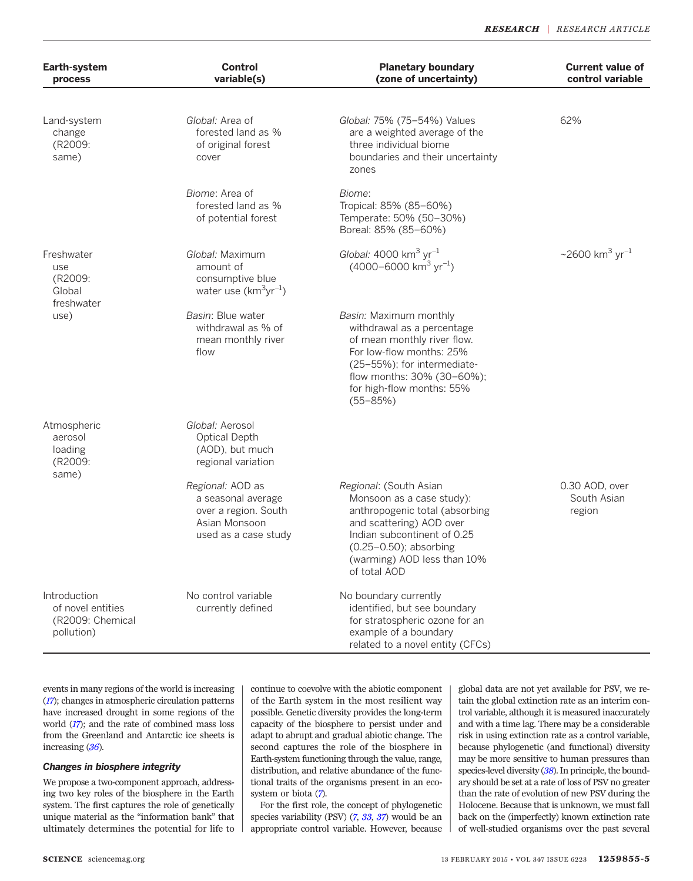| Earth-system<br>process                                             | <b>Control</b><br>variable(s)                                                                           | <b>Planetary boundary</b><br>(zone of uncertainty)                                                                                                                                                                        | <b>Current value of</b><br>control variable  |
|---------------------------------------------------------------------|---------------------------------------------------------------------------------------------------------|---------------------------------------------------------------------------------------------------------------------------------------------------------------------------------------------------------------------------|----------------------------------------------|
| Land-system<br>change<br>(R2009:<br>same)                           | Global: Area of<br>forested land as %<br>of original forest<br>cover                                    | Global: 75% (75-54%) Values<br>are a weighted average of the<br>three individual biome<br>boundaries and their uncertainty<br>zones                                                                                       | 62%                                          |
|                                                                     | Biome: Area of<br>forested land as %<br>of potential forest                                             | Biome:<br>Tropical: 85% (85-60%)<br>Temperate: 50% (50-30%)<br>Boreal: 85% (85-60%)                                                                                                                                       |                                              |
| Freshwater<br>use<br>(R2009:<br>Global<br>freshwater<br>use)        | Global: Maximum<br>amount of<br>consumptive blue<br>water use $(km^3yr^{-1})$                           | Global: 4000 km <sup>3</sup> yr <sup>-1</sup><br>$(4000 - 6000 \text{ km}^3 \text{ yr}^{-1})$                                                                                                                             | $\sim$ 2600 km <sup>3</sup> yr <sup>-1</sup> |
|                                                                     | Basin: Blue water<br>withdrawal as % of<br>mean monthly river<br>flow                                   | Basin: Maximum monthly<br>withdrawal as a percentage<br>of mean monthly river flow.<br>For low-flow months: 25%<br>(25-55%); for intermediate-<br>flow months: 30% (30-60%);<br>for high-flow months: 55%<br>$(55 - 85%)$ |                                              |
| Atmospheric<br>aerosol<br>loading<br>(R2009:<br>same)               | Global: Aerosol<br><b>Optical Depth</b><br>(AOD), but much<br>regional variation                        |                                                                                                                                                                                                                           |                                              |
|                                                                     | Regional: AOD as<br>a seasonal average<br>over a region. South<br>Asian Monsoon<br>used as a case study | Regional: (South Asian<br>Monsoon as a case study):<br>anthropogenic total (absorbing<br>and scattering) AOD over<br>Indian subcontinent of 0.25<br>(0.25-0.50); absorbing<br>(warming) AOD less than 10%<br>of total AOD | 0.30 AOD, over<br>South Asian<br>region      |
| Introduction<br>of novel entities<br>(R2009: Chemical<br>pollution) | No control variable<br>currently defined                                                                | No boundary currently<br>identified, but see boundary<br>for stratospheric ozone for an<br>example of a boundary<br>related to a novel entity (CFCs)                                                                      |                                              |

events in many regions of the world is increasing ([17](#page-9-0)); changes in atmospheric circulation patterns have increased drought in some regions of the world ([17](#page-9-0)); and the rate of combined mass loss from the Greenland and Antarctic ice sheets is increasing ([36](#page-9-0)).

### Changes in biosphere integrity

We propose a two-component approach, addressing two key roles of the biosphere in the Earth system. The first captures the role of genetically unique material as the "information bank" that ultimately determines the potential for life to continue to coevolve with the abiotic component of the Earth system in the most resilient way possible. Genetic diversity provides the long-term capacity of the biosphere to persist under and adapt to abrupt and gradual abiotic change. The second captures the role of the biosphere in Earth-system functioning through the value, range, distribution, and relative abundance of the functional traits of the organisms present in an ecosystem or biota ([7](#page-9-0)).

For the first role, the concept of phylogenetic species variability (PSV) ([7](#page-9-0), [33](#page-9-0), [37](#page-9-0)) would be an appropriate control variable. However, because global data are not yet available for PSV, we retain the global extinction rate as an interim control variable, although it is measured inaccurately and with a time lag. There may be a considerable risk in using extinction rate as a control variable, because phylogenetic (and functional) diversity may be more sensitive to human pressures than species-level diversity ([38](#page-9-0)). In principle, the boundary should be set at a rate of loss of PSV no greater than the rate of evolution of new PSV during the Holocene. Because that is unknown, we must fall back on the (imperfectly) known extinction rate of well-studied organisms over the past several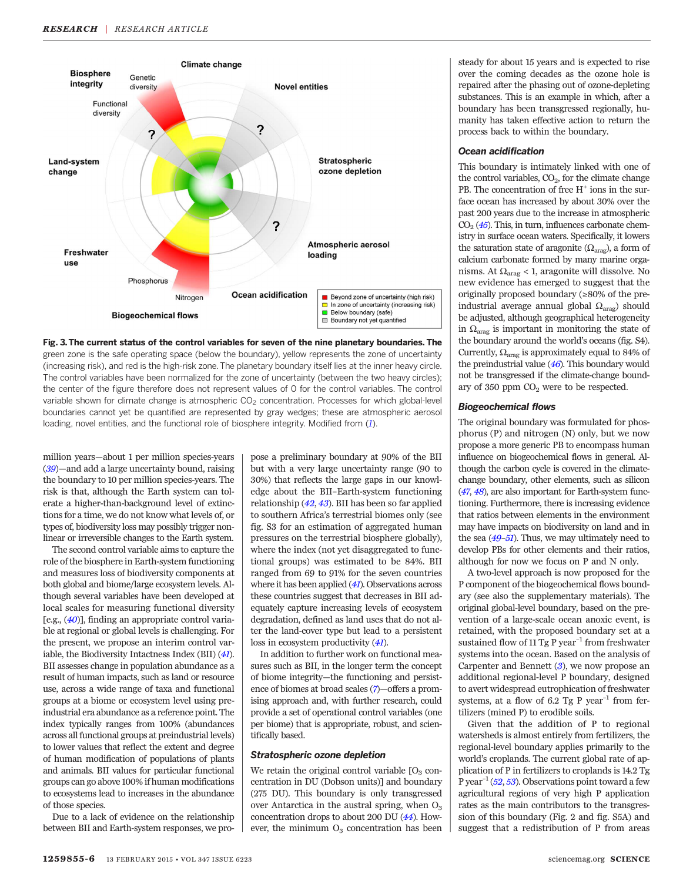

Fig. 3.The current status of the control variables for seven of the nine planetary boundaries. The green zone is the safe operating space (below the boundary), yellow represents the zone of uncertainty (increasing risk), and red is the high-risk zone. The planetary boundary itself lies at the inner heavy circle. The control variables have been normalized for the zone of uncertainty (between the two heavy circles); the center of the figure therefore does not represent values of 0 for the control variables. The control variable shown for climate change is atmospheric CO<sub>2</sub> concentration. Processes for which global-level boundaries cannot yet be quantified are represented by gray wedges; these are atmospheric aerosol loading, novel entities, and the functional role of biosphere integrity. Modified from ([1](#page-9-0)).

million years—about 1 per million species-years ([39](#page-9-0))—and add a large uncertainty bound, raising the boundary to 10 per million species-years. The risk is that, although the Earth system can tolerate a higher-than-background level of extinctions for a time, we do not know what levels of, or types of, biodiversity loss may possibly trigger nonlinear or irreversible changes to the Earth system.

The second control variable aims to capture the role of the biosphere in Earth-system functioning and measures loss of biodiversity components at both global and biome/large ecosystem levels. Although several variables have been developed at local scales for measuring functional diversity [e.g., ([40](#page-9-0))], finding an appropriate control variable at regional or global levels is challenging. For the present, we propose an interim control variable, the Biodiversity Intactness Index (BII) ([41](#page-9-0)). BII assesses change in population abundance as a result of human impacts, such as land or resource use, across a wide range of taxa and functional groups at a biome or ecosystem level using preindustrial era abundance as a reference point. The index typically ranges from 100% (abundances across all functional groups at preindustrial levels) to lower values that reflect the extent and degree of human modification of populations of plants and animals. BII values for particular functional groups can go above 100% if human modifications to ecosystems lead to increases in the abundance of those species.

Due to a lack of evidence on the relationship between BII and Earth-system responses, we pro-

pose a preliminary boundary at 90% of the BII but with a very large uncertainty range (90 to 30%) that reflects the large gaps in our knowledge about the BII–Earth-system functioning relationship ([42](#page-9-0), [43](#page-9-0)). BII has been so far applied to southern Africa's terrestrial biomes only (see fig. S3 for an estimation of aggregated human pressures on the terrestrial biosphere globally), where the index (not yet disaggregated to functional groups) was estimated to be 84%. BII ranged from 69 to 91% for the seven countries where it has been applied ([41](#page-9-0)). Observations across these countries suggest that decreases in BII adequately capture increasing levels of ecosystem degradation, defined as land uses that do not alter the land-cover type but lead to a persistent loss in ecosystem productivity ([41](#page-9-0)).

In addition to further work on functional measures such as BII, in the longer term the concept of biome integrity—the functioning and persistence of biomes at broad scales ([7](#page-9-0))—offers a promising approach and, with further research, could provide a set of operational control variables (one per biome) that is appropriate, robust, and scientifically based.

#### Stratospheric ozone depletion

We retain the original control variable  $[O_3]$  concentration in DU (Dobson units)] and boundary (275 DU). This boundary is only transgressed over Antarctica in the austral spring, when  $O_3$ concentration drops to about 200 DU ([44](#page-9-0)). However, the minimum  $O_3$  concentration has been steady for about 15 years and is expected to rise over the coming decades as the ozone hole is repaired after the phasing out of ozone-depleting substances. This is an example in which, after a boundary has been transgressed regionally, humanity has taken effective action to return the process back to within the boundary.

#### Ocean acidification

This boundary is intimately linked with one of the control variables,  $CO<sub>2</sub>$ , for the climate change PB. The concentration of free H<sup>+</sup> ions in the surface ocean has increased by about 30% over the past 200 years due to the increase in atmospheric  $CO<sub>2</sub>$  ([45](#page-9-0)). This, in turn, influences carbonate chemistry in surface ocean waters. Specifically, it lowers the saturation state of aragonite  $(\Omega_{\text{arag}})$ , a form of calcium carbonate formed by many marine organisms. At $\Omega_{\mathrm{arag}}<1,$ aragonite will dissolve. No new evidence has emerged to suggest that the originally proposed boundary (≥80% of the preindustrial average annual global  $\Omega_{\text{arag}}$  should be adjusted, although geographical heterogeneity in  $\Omega_{\text{arag}}$  is important in monitoring the state of the boundary around the world's oceans (fig. S4). Currently,  $\Omega_{\text{arag}}$  is approximately equal to 84% of the preindustrial value  $(46)$  $(46)$  $(46)$ . This boundary would not be transgressed if the climate-change boundary of  $350$  ppm  $CO<sub>2</sub>$  were to be respected.

#### Biogeochemical flows

The original boundary was formulated for phosphorus (P) and nitrogen (N) only, but we now propose a more generic PB to encompass human influence on biogeochemical flows in general. Although the carbon cycle is covered in the climatechange boundary, other elements, such as silicon ([47](#page-9-0), [48](#page-10-0)), are also important for Earth-system functioning. Furthermore, there is increasing evidence that ratios between elements in the environment may have impacts on biodiversity on land and in the sea ([49](#page-10-0)–[51](#page-10-0)). Thus, we may ultimately need to develop PBs for other elements and their ratios, although for now we focus on P and N only.

A two-level approach is now proposed for the P component of the biogeochemical flows boundary (see also the supplementary materials). The original global-level boundary, based on the prevention of a large-scale ocean anoxic event, is retained, with the proposed boundary set at a sustained flow of 11 Tg P year<sup>-1</sup> from freshwater systems into the ocean. Based on the analysis of Carpenter and Bennett  $(3)$  $(3)$  $(3)$ , we now propose an additional regional-level P boundary, designed to avert widespread eutrophication of freshwater systems, at a flow of 6.2 Tg P year<sup>-1</sup> from fertilizers (mined P) to erodible soils.

Given that the addition of P to regional watersheds is almost entirely from fertilizers, the regional-level boundary applies primarily to the world's croplands. The current global rate of application of P in fertilizers to croplands is 14.2 Tg P year<sup>-1</sup> ([52](#page-10-0), [53](#page-10-0)). Observations point toward a few agricultural regions of very high P application rates as the main contributors to the transgression of this boundary (Fig. 2 and fig. S5A) and suggest that a redistribution of P from areas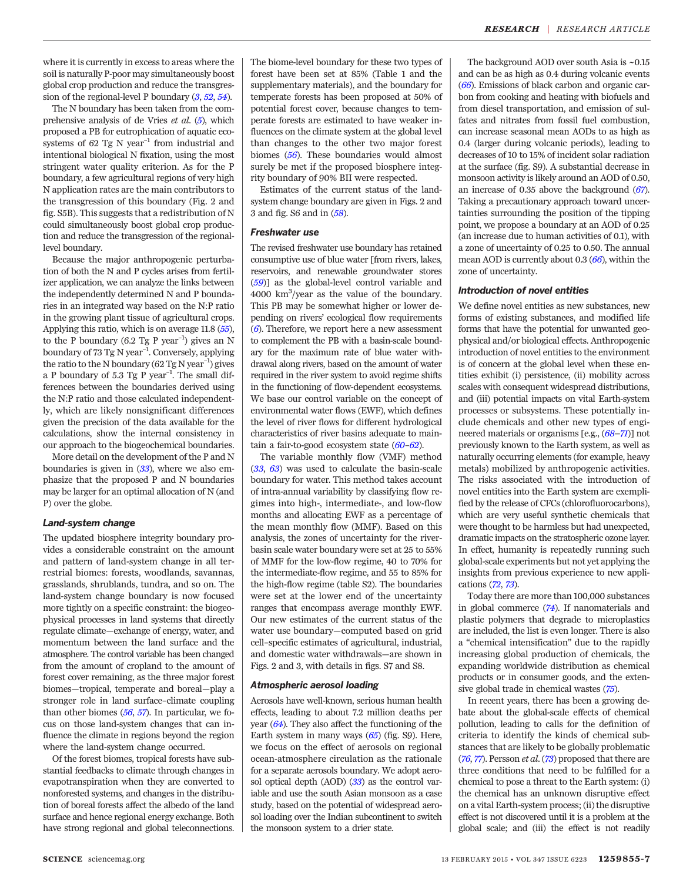where it is currently in excess to areas where the soil is naturally P-poor may simultaneously boost global crop production and reduce the transgression of the regional-level P boundary ([3](#page-9-0), [52](#page-10-0), [54](#page-10-0)).

The N boundary has been taken from the comprehensive analysis of de Vries  $et \, al. \, (5)$  $et \, al. \, (5)$  $et \, al. \, (5)$ , which proposed a PB for eutrophication of aquatic ecosystems of 62 Tg N year<sup>-1</sup> from industrial and intentional biological N fixation, using the most stringent water quality criterion. As for the P boundary, a few agricultural regions of very high N application rates are the main contributors to the transgression of this boundary (Fig. 2 and fig. S5B). This suggests that a redistribution of N could simultaneously boost global crop production and reduce the transgression of the regionallevel boundary.

Because the major anthropogenic perturbation of both the N and P cycles arises from fertilizer application, we can analyze the links between the independently determined N and P boundaries in an integrated way based on the N:P ratio in the growing plant tissue of agricultural crops. Applying this ratio, which is on average 11.8 ([55](#page-10-0)), to the P boundary  $(6.2 \text{ Tg P year}^{-1})$  gives an N boundary of 73 Tg N year–<sup>1</sup> . Conversely, applying the ratio to the N boundary  $(62 \text{ Tg N year}^{-1})$  gives a P boundary of 5.3 Tg P year<sup>-1</sup>. The small differences between the boundaries derived using the N:P ratio and those calculated independently, which are likely nonsignificant differences given the precision of the data available for the calculations, show the internal consistency in our approach to the biogeochemical boundaries.

More detail on the development of the P and N boundaries is given in  $(33)$  $(33)$  $(33)$ , where we also emphasize that the proposed P and N boundaries may be larger for an optimal allocation of N (and P) over the globe.

#### Land-system change

The updated biosphere integrity boundary provides a considerable constraint on the amount and pattern of land-system change in all terrestrial biomes: forests, woodlands, savannas, grasslands, shrublands, tundra, and so on. The land-system change boundary is now focused more tightly on a specific constraint: the biogeophysical processes in land systems that directly regulate climate—exchange of energy, water, and momentum between the land surface and the atmosphere. The control variable has been changed from the amount of cropland to the amount of forest cover remaining, as the three major forest biomes—tropical, temperate and boreal—play a stronger role in land surface–climate coupling than other biomes  $(56, 57)$  $(56, 57)$  $(56, 57)$  $(56, 57)$  $(56, 57)$ . In particular, we focus on those land-system changes that can influence the climate in regions beyond the region where the land-system change occurred.

Of the forest biomes, tropical forests have substantial feedbacks to climate through changes in evapotranspiration when they are converted to nonforested systems, and changes in the distribution of boreal forests affect the albedo of the land surface and hence regional energy exchange. Both have strong regional and global teleconnections.

The biome-level boundary for these two types of forest have been set at 85% (Table 1 and the supplementary materials), and the boundary for temperate forests has been proposed at 50% of potential forest cover, because changes to temperate forests are estimated to have weaker influences on the climate system at the global level than changes to the other two major forest biomes ([56](#page-10-0)). These boundaries would almost surely be met if the proposed biosphere integrity boundary of 90% BII were respected.

Estimates of the current status of the landsystem change boundary are given in Figs. 2 and 3 and fig. S6 and in ([58](#page-10-0)).

#### Freshwater use

The revised freshwater use boundary has retained consumptive use of blue water [from rivers, lakes, reservoirs, and renewable groundwater stores ([59](#page-10-0))] as the global-level control variable and 4000 km3 /year as the value of the boundary. This PB may be somewhat higher or lower depending on rivers' ecological flow requirements  $(6)$  $(6)$  $(6)$ . Therefore, we report here a new assessment to complement the PB with a basin-scale boundary for the maximum rate of blue water withdrawal along rivers, based on the amount of water required in the river system to avoid regime shifts in the functioning of flow-dependent ecosystems. We base our control variable on the concept of environmental water flows (EWF), which defines the level of river flows for different hydrological characteristics of river basins adequate to maintain a fair-to-good ecosystem state  $(60-62)$  $(60-62)$  $(60-62)$  $(60-62)$  $(60-62)$ .

The variable monthly flow (VMF) method ([33](#page-9-0), [63](#page-10-0)) was used to calculate the basin-scale boundary for water. This method takes account of intra-annual variability by classifying flow regimes into high-, intermediate-, and low-flow months and allocating EWF as a percentage of the mean monthly flow (MMF). Based on this analysis, the zones of uncertainty for the riverbasin scale water boundary were set at 25 to 55% of MMF for the low-flow regime, 40 to 70% for the intermediate-flow regime, and 55 to 85% for the high-flow regime (table S2). The boundaries were set at the lower end of the uncertainty ranges that encompass average monthly EWF. Our new estimates of the current status of the water use boundary—computed based on grid cell–specific estimates of agricultural, industrial, and domestic water withdrawals—are shown in Figs. 2 and 3, with details in figs. S7 and S8.

#### Atmospheric aerosol loading

Aerosols have well-known, serious human health effects, leading to about 7.2 million deaths per year  $(64)$  $(64)$  $(64)$ . They also affect the functioning of the Earth system in many ways  $(65)$  $(65)$  $(65)$  (fig. S9). Here, we focus on the effect of aerosols on regional ocean-atmosphere circulation as the rationale for a separate aerosols boundary. We adopt aerosol optical depth (AOD) ([33](#page-9-0)) as the control variable and use the south Asian monsoon as a case study, based on the potential of widespread aerosol loading over the Indian subcontinent to switch the monsoon system to a drier state.

The background AOD over south Asia is ~0.15 and can be as high as 0.4 during volcanic events ([66](#page-10-0)). Emissions of black carbon and organic carbon from cooking and heating with biofuels and from diesel transportation, and emission of sulfates and nitrates from fossil fuel combustion, can increase seasonal mean AODs to as high as 0.4 (larger during volcanic periods), leading to decreases of 10 to 15% of incident solar radiation at the surface (fig. S9). A substantial decrease in monsoon activity is likely around an AOD of 0.50, an increase of 0.35 above the background ([67](#page-10-0)). Taking a precautionary approach toward uncertainties surrounding the position of the tipping point, we propose a boundary at an AOD of 0.25 (an increase due to human activities of 0.1), with a zone of uncertainty of 0.25 to 0.50. The annual mean AOD is currently about  $0.3$  ( $66$ ), within the zone of uncertainty.

#### Introduction of novel entities

We define novel entities as new substances, new forms of existing substances, and modified life forms that have the potential for unwanted geophysical and/or biological effects. Anthropogenic introduction of novel entities to the environment is of concern at the global level when these entities exhibit (i) persistence, (ii) mobility across scales with consequent widespread distributions, and (iii) potential impacts on vital Earth-system processes or subsystems. These potentially include chemicals and other new types of engineered materials or organisms [e.g., ([68](#page-10-0)–[71](#page-10-0))] not previously known to the Earth system, as well as naturally occurring elements (for example, heavy metals) mobilized by anthropogenic activities. The risks associated with the introduction of novel entities into the Earth system are exemplified by the release of CFCs (chlorofluorocarbons), which are very useful synthetic chemicals that were thought to be harmless but had unexpected, dramatic impacts on the stratospheric ozone layer. In effect, humanity is repeatedly running such global-scale experiments but not yet applying the insights from previous experience to new applications ([72](#page-10-0), [73](#page-10-0)).

Today there are more than 100,000 substances in global commerce ([74](#page-10-0)). If nanomaterials and plastic polymers that degrade to microplastics are included, the list is even longer. There is also a "chemical intensification" due to the rapidly increasing global production of chemicals, the expanding worldwide distribution as chemical products or in consumer goods, and the extensive global trade in chemical wastes ([75](#page-10-0)).

In recent years, there has been a growing debate about the global-scale effects of chemical pollution, leading to calls for the definition of criteria to identify the kinds of chemical substances that are likely to be globally problematic  $(76, 77)$  $(76, 77)$  $(76, 77)$  $(76, 77)$  $(76, 77)$ . Persson *et al.*  $(73)$  $(73)$  $(73)$  proposed that there are three conditions that need to be fulfilled for a chemical to pose a threat to the Earth system: (i) the chemical has an unknown disruptive effect on a vital Earth-system process; (ii) the disruptive effect is not discovered until it is a problem at the global scale; and (iii) the effect is not readily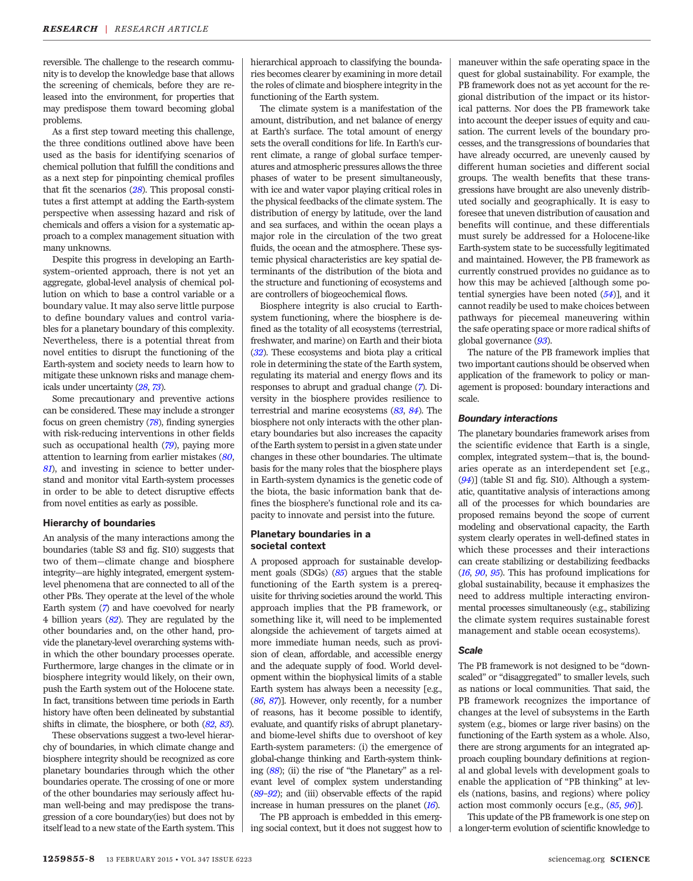reversible. The challenge to the research community is to develop the knowledge base that allows the screening of chemicals, before they are released into the environment, for properties that may predispose them toward becoming global problems.

As a first step toward meeting this challenge, the three conditions outlined above have been used as the basis for identifying scenarios of chemical pollution that fulfill the conditions and as a next step for pinpointing chemical profiles that fit the scenarios ([28](#page-9-0)). This proposal constitutes a first attempt at adding the Earth-system perspective when assessing hazard and risk of chemicals and offers a vision for a systematic approach to a complex management situation with many unknowns.

Despite this progress in developing an Earthsystem–oriented approach, there is not yet an aggregate, global-level analysis of chemical pollution on which to base a control variable or a boundary value. It may also serve little purpose to define boundary values and control variables for a planetary boundary of this complexity. Nevertheless, there is a potential threat from novel entities to disrupt the functioning of the Earth-system and society needs to learn how to mitigate these unknown risks and manage chemicals under uncertainty ([28](#page-9-0), [73](#page-10-0)).

Some precautionary and preventive actions can be considered. These may include a stronger focus on green chemistry ([78](#page-10-0)), finding synergies with risk-reducing interventions in other fields such as occupational health  $(79)$  $(79)$  $(79)$ , paying more attention to learning from earlier mistakes  $(80, 80)$  $(80, 80)$  $(80, 80)$ [81](#page-10-0)), and investing in science to better understand and monitor vital Earth-system processes in order to be able to detect disruptive effects from novel entities as early as possible.

#### Hierarchy of boundaries

An analysis of the many interactions among the boundaries (table S3 and fig. S10) suggests that two of them—climate change and biosphere integrity—are highly integrated, emergent systemlevel phenomena that are connected to all of the other PBs. They operate at the level of the whole Earth system ([7](#page-9-0)) and have coevolved for nearly 4 billion years ([82](#page-10-0)). They are regulated by the other boundaries and, on the other hand, provide the planetary-level overarching systems within which the other boundary processes operate. Furthermore, large changes in the climate or in biosphere integrity would likely, on their own, push the Earth system out of the Holocene state. In fact, transitions between time periods in Earth history have often been delineated by substantial shifts in climate, the biosphere, or both  $(82, 83)$  $(82, 83)$  $(82, 83)$  $(82, 83)$  $(82, 83)$ .

These observations suggest a two-level hierarchy of boundaries, in which climate change and biosphere integrity should be recognized as core planetary boundaries through which the other boundaries operate. The crossing of one or more of the other boundaries may seriously affect human well-being and may predispose the transgression of a core boundary(ies) but does not by itself lead to a new state of the Earth system. This hierarchical approach to classifying the boundaries becomes clearer by examining in more detail the roles of climate and biosphere integrity in the functioning of the Earth system.

The climate system is a manifestation of the amount, distribution, and net balance of energy at Earth's surface. The total amount of energy sets the overall conditions for life. In Earth's current climate, a range of global surface temperatures and atmospheric pressures allows the three phases of water to be present simultaneously, with ice and water vapor playing critical roles in the physical feedbacks of the climate system. The distribution of energy by latitude, over the land and sea surfaces, and within the ocean plays a major role in the circulation of the two great fluids, the ocean and the atmosphere. These systemic physical characteristics are key spatial determinants of the distribution of the biota and the structure and functioning of ecosystems and are controllers of biogeochemical flows.

Biosphere integrity is also crucial to Earthsystem functioning, where the biosphere is defined as the totality of all ecosystems (terrestrial, freshwater, and marine) on Earth and their biota ([32](#page-9-0)). These ecosystems and biota play a critical role in determining the state of the Earth system, regulating its material and energy flows and its responses to abrupt and gradual change ([7](#page-9-0)). Diversity in the biosphere provides resilience to terrestrial and marine ecosystems ([83](#page-10-0), [84](#page-10-0)). The biosphere not only interacts with the other planetary boundaries but also increases the capacity of the Earth system to persist in a given state under changes in these other boundaries. The ultimate basis for the many roles that the biosphere plays in Earth-system dynamics is the genetic code of the biota, the basic information bank that defines the biosphere's functional role and its capacity to innovate and persist into the future.

#### Planetary boundaries in a societal context

A proposed approach for sustainable development goals (SDGs)  $(85)$  $(85)$  $(85)$  argues that the stable functioning of the Earth system is a prerequisite for thriving societies around the world. This approach implies that the PB framework, or something like it, will need to be implemented alongside the achievement of targets aimed at more immediate human needs, such as provision of clean, affordable, and accessible energy and the adequate supply of food. World development within the biophysical limits of a stable Earth system has always been a necessity [e.g., ([86](#page-10-0), [87](#page-10-0))]. However, only recently, for a number of reasons, has it become possible to identify, evaluate, and quantify risks of abrupt planetaryand biome-level shifts due to overshoot of key Earth-system parameters: (i) the emergence of global-change thinking and Earth-system thinking  $(88)$  $(88)$  $(88)$ ; (ii) the rise of "the Planetary" as a relevant level of complex system understanding ([89](#page-10-0)–[92](#page-10-0)); and (iii) observable effects of the rapid increase in human pressures on the planet  $(16)$  $(16)$  $(16)$ .

The PB approach is embedded in this emerging social context, but it does not suggest how to maneuver within the safe operating space in the quest for global sustainability. For example, the PB framework does not as yet account for the regional distribution of the impact or its historical patterns. Nor does the PB framework take into account the deeper issues of equity and causation. The current levels of the boundary processes, and the transgressions of boundaries that have already occurred, are unevenly caused by different human societies and different social groups. The wealth benefits that these transgressions have brought are also unevenly distributed socially and geographically. It is easy to foresee that uneven distribution of causation and benefits will continue, and these differentials must surely be addressed for a Holocene-like Earth-system state to be successfully legitimated and maintained. However, the PB framework as currently construed provides no guidance as to how this may be achieved [although some potential synergies have been noted  $(54)$  $(54)$  $(54)$ ], and it cannot readily be used to make choices between pathways for piecemeal maneuvering within the safe operating space or more radical shifts of global governance ([93](#page-10-0)).

The nature of the PB framework implies that two important cautions should be observed when application of the framework to policy or management is proposed: boundary interactions and scale.

#### Boundary interactions

The planetary boundaries framework arises from the scientific evidence that Earth is a single, complex, integrated system—that is, the boundaries operate as an interdependent set [e.g., ([94](#page-10-0))] (table S1 and fig. S10). Although a systematic, quantitative analysis of interactions among all of the processes for which boundaries are proposed remains beyond the scope of current modeling and observational capacity, the Earth system clearly operates in well-defined states in which these processes and their interactions can create stabilizing or destabilizing feedbacks ([16](#page-9-0), [90](#page-10-0), [95](#page-10-0)). This has profound implications for global sustainability, because it emphasizes the need to address multiple interacting environmental processes simultaneously (e.g., stabilizing the climate system requires sustainable forest management and stable ocean ecosystems).

#### Scale

The PB framework is not designed to be "downscaled" or "disaggregated" to smaller levels, such as nations or local communities. That said, the PB framework recognizes the importance of changes at the level of subsystems in the Earth system (e.g., biomes or large river basins) on the functioning of the Earth system as a whole. Also, there are strong arguments for an integrated approach coupling boundary definitions at regional and global levels with development goals to enable the application of "PB thinking" at levels (nations, basins, and regions) where policy action most commonly occurs [e.g., ([85](#page-10-0), [96](#page-10-0))].

This update of the PB framework is one step on a longer-term evolution of scientific knowledge to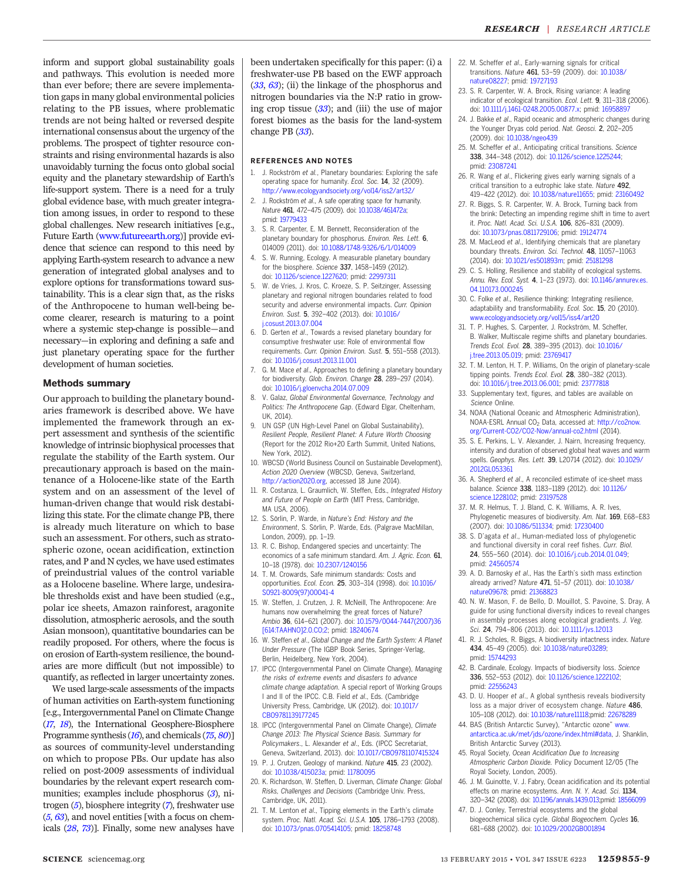<span id="page-9-0"></span>inform and support global sustainability goals and pathways. This evolution is needed more than ever before; there are severe implementation gaps in many global environmental policies relating to the PB issues, where problematic trends are not being halted or reversed despite international consensus about the urgency of the problems. The prospect of tighter resource constraints and rising environmental hazards is also unavoidably turning the focus onto global social equity and the planetary stewardship of Earth's life-support system. There is a need for a truly global evidence base, with much greater integration among issues, in order to respond to these global challenges. New research initiatives [e.g., Future Earth [\(www.futureearth.org](http://www.futureearth.org))] provide evidence that science can respond to this need by applying Earth-system research to advance a new generation of integrated global analyses and to explore options for transformations toward sustainability. This is a clear sign that, as the risks of the Anthropocene to human well-being become clearer, research is maturing to a point where a systemic step-change is possible—and necessary—in exploring and defining a safe and just planetary operating space for the further development of human societies.

#### Methods summary

Our approach to building the planetary boundaries framework is described above. We have implemented the framework through an expert assessment and synthesis of the scientific knowledge of intrinsic biophysical processes that regulate the stability of the Earth system. Our precautionary approach is based on the maintenance of a Holocene-like state of the Earth system and on an assessment of the level of human-driven change that would risk destabilizing this state. For the climate change PB, there is already much literature on which to base such an assessment. For others, such as stratospheric ozone, ocean acidification, extinction rates, and P and N cycles, we have used estimates of preindustrial values of the control variable as a Holocene baseline. Where large, undesirable thresholds exist and have been studied (e.g., polar ice sheets, Amazon rainforest, aragonite dissolution, atmospheric aerosols, and the south Asian monsoon), quantitative boundaries can be readily proposed. For others, where the focus is on erosion of Earth-system resilience, the boundaries are more difficult (but not impossible) to quantify, as reflected in larger uncertainty zones.

We used large-scale assessments of the impacts of human activities on Earth-system functioning [e.g., Intergovernmental Panel on Climate Change (17, 18), the International Geosphere-Biosphere Programme synthesis (16), and chemicals ([75](#page-10-0), [80](#page-10-0))] as sources of community-level understanding on which to propose PBs. Our update has also relied on post-2009 assessments of individual boundaries by the relevant expert research communities; examples include phosphorus (3), nitrogen (5), biosphere integrity (7), freshwater use  $(5, 63)$  $(5, 63)$  $(5, 63)$ , and novel entities [with a focus on chemicals (28, [73](#page-10-0))]. Finally, some new analyses have

been undertaken specifically for this paper: (i) a freshwater-use PB based on the EWF approach  $(33, 63)$  $(33, 63)$  $(33, 63)$ ; (ii) the linkage of the phosphorus and nitrogen boundaries via the N:P ratio in growing crop tissue  $(33)$ ; and (iii) the use of major forest biomes as the basis for the land-system change PB  $(33)$ .

#### REFERENCES AND NOTES

- 1. J. Rockström et al., Planetary boundaries: Exploring the safe operating space for humanity. Ecol. Soc. 14, 32 (2009). <http://www.ecologyandsociety.org/vol14/iss2/art32/>
- 2. J. Rockström et al., A safe operating space for humanity. Nature 461, 472–475 (2009). doi: [10.1038/461472a](http://dx.doi.org/10.1038/461472a); pmid: [19779433](http://www.ncbi.nlm.nih.gov/pubmed/19779433)
- 3. S. R. Carpenter, E. M. Bennett, Reconsideration of the planetary boundary for phosphorus. Environ. Res. Lett. 6, 014009 (2011). doi: [10.1088/1748-9326/6/1/014009](http://dx.doi.org/10.1088/1748-9326/6/1/014009)
- 4. S. W. Running, Ecology. A measurable planetary boundary for the biosphere. Science 337, 1458–1459 (2012). doi: [10.1126/science.1227620](http://dx.doi.org/10.1126/science.1227620); pmid: [22997311](http://www.ncbi.nlm.nih.gov/pubmed/22997311)
- 5. W. de Vries, J. Kros, C. Kroeze, S. P. Seitzinger, Assessing planetary and regional nitrogen boundaries related to food security and adverse environmental impacts. Curr. Opinion Environ. Sust. 5, 392–402 (2013). doi: [10.1016/](http://dx.doi.org/10.1016/j.cosust.2013.07.004) [j.cosust.2013.07.004](http://dx.doi.org/10.1016/j.cosust.2013.07.004)
- 6. D. Gerten et al., Towards a revised planetary boundary for consumptive freshwater use: Role of environmental flow requirements. Curr. Opinion Environ. Sust. 5, 551–558 (2013). doi: [10.1016/j.cosust.2013.11.001](http://dx.doi.org/10.1016/j.cosust.2013.11.001)
- 7. G. M. Mace et al., Approaches to defining a planetary boundary for biodiversity. Glob. Environ. Change 28, 289–297 (2014). doi: [10.1016/j.gloenvcha.2014.07.009](http://dx.doi.org/10.1016/j.gloenvcha.2014.07.009)
- 8. V. Galaz, Global Environmental Governance, Technology and Politics: The Anthropocene Gap. (Edward Elgar, Cheltenham, UK, 2014).
- 9. UN GSP (UN High-Level Panel on Global Sustainability), Resilient People, Resilient Planet: A Future Worth Choosing (Report for the 2012 Rio+20 Earth Summit, United Nations, New York, 2012).
- 10. WBCSD (World Business Council on Sustainable Development), Action 2020 Overview (WBCSD, Geneva, Switzerland, <http://action2020.org>, accessed 18 June 2014).
- 11. R. Costanza, L. Graumlich, W. Steffen, Eds., Integrated History and Future of People on Earth (MIT Press, Cambridge, MA USA, 2006).
- 12. S. Sörlin, P. Warde, in Nature*'*s End: History and the Environment, S. Sörlin, P. Warde, Eds. (Palgrave MacMillan, London, 2009), pp. 1–19.
- 13. R. C. Bishop, Endangered species and uncertainty: The economics of a safe minimum standard. Am. J. Agric. Econ. 61, 10–18 (1978). doi: [10.2307/1240156](http://dx.doi.org/10.2307/1240156)
- 14. T. M. Crowards, Safe minimum standards: Costs and opportunities. Ecol. Econ. 25, 303–314 (1998). doi: [10.1016/](http://dx.doi.org/10.1016/S0921-8009(97)00041-4) [S0921-8009\(97\)00041-4](http://dx.doi.org/10.1016/S0921-8009(97)00041-4)
- 15. W. Steffen, J. Crutzen, J. R. McNeill, The Anthropocene: Are humans now overwhelming the great forces of Nature? Ambio 36, 614–621 (2007). doi: [10.1579/0044-7447\(2007\)36](http://dx.doi.org/10.1579/0044-7447(2007)36[614:TAAHNO]2.0.CO;2) [\[614:TAAHNO\]2.0.CO;2;](http://dx.doi.org/10.1579/0044-7447(2007)36[614:TAAHNO]2.0.CO;2) pmid: [18240674](http://www.ncbi.nlm.nih.gov/pubmed/18240674)
- 16. W. Steffen et al., Global Change and the Earth System: A Planet Under Pressure (The IGBP Book Series, Springer-Verlag, Berlin, Heidelberg, New York, 2004).
- 17. IPCC (Intergovernmental Panel on Climate Change), Managing the risks of extreme events and disasters to advance climate change adaptation. A special report of Working Groups I and II of the IPCC. C.B. Field et al., Eds. (Cambridge University Press, Cambridge, UK (2012). doi: [10.1017/](http://dx.doi.org/10.1017/CBO9781139177245) [CBO9781139177245](http://dx.doi.org/10.1017/CBO9781139177245)
- 18. IPCC (Intergovernmental Panel on Climate Change), Climate Change 2013: The Physical Science Basis. Summary for Policymakers., L. Alexander et al., Eds. (IPCC Secretariat, Geneva, Switzerland, 2013). doi: [10.1017/CBO9781107415324](http://dx.doi.org/10.1017/CBO9781107415324)
- 19. P. J. Crutzen, Geology of mankind. Nature 415, 23 (2002). doi: [10.1038/415023a;](http://dx.doi.org/10.1038/415023a) pmid: [11780095](http://www.ncbi.nlm.nih.gov/pubmed/11780095)
- 20. K. Richardson, W. Steffen, D. Liverman, Climate Change: Global Risks, Challenges and Decisions (Cambridge Univ. Press, Cambridge, UK, 2011).
- 21. T. M. Lenton et al., Tipping elements in the Earth's climate system. Proc. Natl. Acad. Sci. U.S.A. 105, 1786–1793 (2008). doi: [10.1073/pnas.0705414105;](http://dx.doi.org/10.1073/pnas.0705414105) pmid: [18258748](http://www.ncbi.nlm.nih.gov/pubmed/18258748)
- 22. M. Scheffer et al., Early-warning signals for critical transitions. Nature 461, 53–59 (2009). doi: [10.1038/](http://dx.doi.org/10.1038/nature08227) [nature08227](http://dx.doi.org/10.1038/nature08227); pmid: [19727193](http://www.ncbi.nlm.nih.gov/pubmed/19727193)
- 23. S. R. Carpenter, W. A. Brock, Rising variance: A leading indicator of ecological transition. Ecol. Lett. 9, 311–318 (2006). doi: [10.1111/j.1461-0248.2005.00877.x](http://dx.doi.org/10.1111/j.1461-0248.2005.00877.x); pmid: [16958897](http://www.ncbi.nlm.nih.gov/pubmed/16958897)
- 24. J. Bakke et al., Rapid oceanic and atmospheric changes during the Younger Dryas cold period. Nat. Geosci. 2, 202–205 (2009). doi: [10.1038/ngeo439](http://dx.doi.org/10.1038/ngeo439)
- 25. M. Scheffer et al., Anticipating critical transitions. Science 338, 344–348 (2012). doi: [10.1126/science.1225244](http://dx.doi.org/10.1126/science.1225244); pmid: [23087241](http://www.ncbi.nlm.nih.gov/pubmed/23087241)
- 26. R. Wang et al., Flickering gives early warning signals of a critical transition to a eutrophic lake state. Nature 492, 419–422 (2012). doi: [10.1038/nature11655](http://dx.doi.org/10.1038/nature11655); pmid: [23160492](http://www.ncbi.nlm.nih.gov/pubmed/23160492)
- 27. R. Biggs, S. R. Carpenter, W. A. Brock, Turning back from the brink: Detecting an impending regime shift in time to avert it. Proc. Natl. Acad. Sci. U.S.A. 106, 826–831 (2009). doi: [10.1073/pnas.0811729106;](http://dx.doi.org/10.1073/pnas.0811729106) pmid: [19124774](http://www.ncbi.nlm.nih.gov/pubmed/19124774)
- 28. M. MacLeod et al., Identifying chemicals that are planetary boundary threats. Environ. Sci. Technol. 48, 11057–11063 (2014). doi: [10.1021/es501893m;](http://dx.doi.org/10.1021/es501893m) pmid: [25181298](http://www.ncbi.nlm.nih.gov/pubmed/25181298)
- 29. C. S. Holling, Resilience and stability of ecological systems. Annu. Rev. Ecol. Syst. 4, 1–23 (1973). doi: [10.1146/annurev.es.](http://dx.doi.org/10.1146/annurev.es.04.110173.000245) [04.110173.000245](http://dx.doi.org/10.1146/annurev.es.04.110173.000245)
- 30. C. Folke et al., Resilience thinking: Integrating resilience, adaptability and transformability. Ecol. Soc. 15, 20 (2010). [www.ecologyandsociety.org/vol15/iss4/art20](http://www.ecologyandsociety.org/vol15/iss4/art20)
- 31. T. P. Hughes, S. Carpenter, J. Rockström, M. Scheffer, B. Walker, Multiscale regime shifts and planetary boundaries. Trends Ecol. Evol. 28, 389–395 (2013). doi: [10.1016/](http://dx.doi.org/10.1016/j.tree.2013.05.019) [j.tree.2013.05.019](http://dx.doi.org/10.1016/j.tree.2013.05.019); pmid: [23769417](http://www.ncbi.nlm.nih.gov/pubmed/23769417)
- 32. T. M. Lenton, H. T. P. Williams, On the origin of planetary-scale tipping points. Trends Ecol. Evol. 28, 380-382 (2013). doi: [10.1016/j.tree.2013.06.001](http://dx.doi.org/10.1016/j.tree.2013.06.001); pmid: [23777818](http://www.ncbi.nlm.nih.gov/pubmed/23777818)
- 33. Supplementary text, figures, and tables are available on Science Online.
- 34. NOAA (National Oceanic and Atmospheric Administration), NOAA-ESRL Annual CO2 Data, accessed at: [http://co2now.](http://co2now.org/Current-CO2/CO2-Now/annual-co2.html) [org/Current-CO2/CO2-Now/annual-co2.html](http://co2now.org/Current-CO2/CO2-Now/annual-co2.html) (2014).
- 35. S. E. Perkins, L. V. Alexander, J. Nairn, Increasing frequency, intensity and duration of observed global heat waves and warm spells. Geophys. Res. Lett. 39, L20714 (2012). doi: [10.1029/](http://dx.doi.org/10.1029/2012GL053361) [2012GL053361](http://dx.doi.org/10.1029/2012GL053361)
- 36. A. Shepherd et al., A reconciled estimate of ice-sheet mass balance. Science 338, 1183–1189 (2012). doi: [10.1126/](http://dx.doi.org/10.1126/science.1228102) [science.1228102](http://dx.doi.org/10.1126/science.1228102); pmid: [23197528](http://www.ncbi.nlm.nih.gov/pubmed/23197528)
- 37. M. R. Helmus, T. J. Bland, C. K. Williams, A. R. Ives, Phylogenetic measures of biodiversity. Am. Nat. 169, E68–E83 (2007). doi: [10.1086/511334](http://dx.doi.org/10.1086/511334); pmid: [17230400](http://www.ncbi.nlm.nih.gov/pubmed/17230400)
- 38. S. D'agata et al., Human-mediated loss of phylogenetic and functional diversity in coral reef fishes. Curr. Biol. 24, 555–560 (2014). doi: [10.1016/j.cub.2014.01.049;](http://dx.doi.org/10.1016/j.cub.2014.01.049) pmid: [24560574](http://www.ncbi.nlm.nih.gov/pubmed/24560574)
- 39. A. D. Barnosky et al., Has the Earth's sixth mass extinction already arrived? Nature 471, 51–57 (2011). doi: [10.1038/](http://dx.doi.org/10.1038/nature09678) [nature09678;](http://dx.doi.org/10.1038/nature09678) pmid: [21368823](http://www.ncbi.nlm.nih.gov/pubmed/21368823)
- 40. N. W. Mason, F. de Bello, D. Mouillot, S. Pavoine, S. Dray, A guide for using functional diversity indices to reveal changes in assembly processes along ecological gradients. J. Veg. Sci. 24, 794-806 (2013). doi: [10.1111/jvs.12013](http://dx.doi.org/10.1111/jvs.12013)
- 41. R. J. Scholes, R. Biggs, A biodiversity intactness index. Nature 434, 45–49 (2005). doi: [10.1038/nature03289;](http://dx.doi.org/10.1038/nature03289) pmid: [15744293](http://www.ncbi.nlm.nih.gov/pubmed/15744293)
- 42. B. Cardinale, Ecology. Impacts of biodiversity loss. Science 336, 552–553 (2012). doi: [10.1126/science.1222102](http://dx.doi.org/10.1126/science.1222102); pmid: [22556243](http://www.ncbi.nlm.nih.gov/pubmed/22556243)
- 43. D. U. Hooper et al., A global synthesis reveals biodiversity loss as a major driver of ecosystem change. Nature 486, 105–108 (2012). doi: [10.1038/nature11118;](http://dx.doi.org/10.1038/nature11118)pmid: [22678289](http://www.ncbi.nlm.nih.gov/pubmed/22678289)
- 44. BAS (British Antarctic Survey), "Antarctic ozone" [www.](http://www.antarctica.ac.uk/met/jds/ozone/index.html#data) [antarctica.ac.uk/met/jds/ozone/index.html#data](http://www.antarctica.ac.uk/met/jds/ozone/index.html#data), J. Shanklin, British Antarctic Survey (2013).
- 45. Royal Society, Ocean Acidification Due to Increasing Atmospheric Carbon Dioxide. Policy Document 12/05 (The Royal Society, London, 2005).
- 46. J. M. Guinotte, V. J. Fabry, Ocean acidification and its potential effects on marine ecosystems. Ann. N. Y. Acad. Sci. 1134. 320–342 (2008). doi: [10.1196/annals.1439.013;](http://dx.doi.org/10.1196/annals.1439.013)pmid: [18566099](http://www.ncbi.nlm.nih.gov/pubmed/18566099)
- 47. D. J. Conley, Terrestrial ecosystems and the global biogeochemical silica cycle. Global Biogeochem. Cycles 16, 681–688 (2002). doi: [10.1029/2002GB001894](http://dx.doi.org/10.1029/2002GB001894)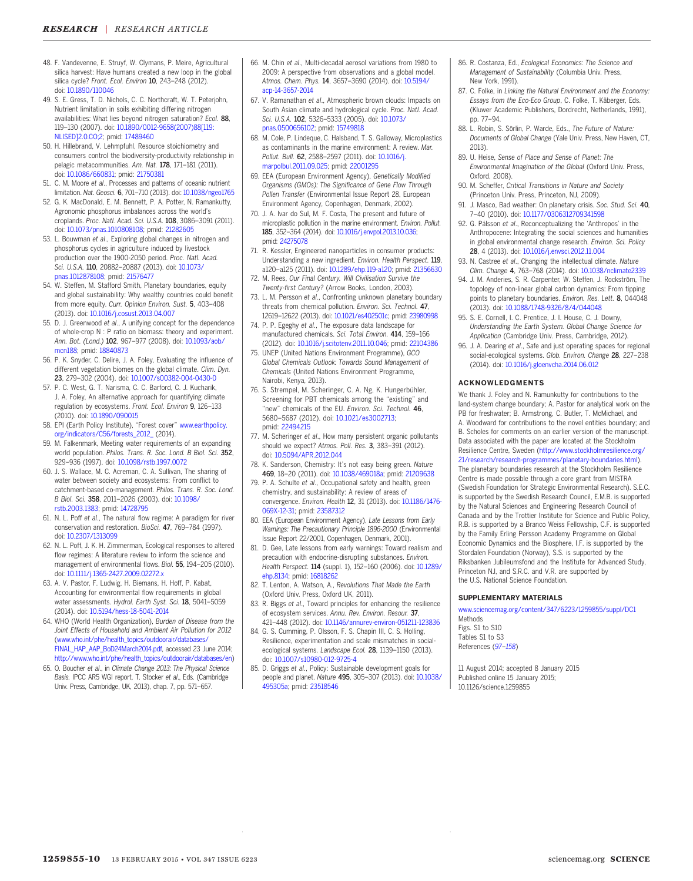- <span id="page-10-0"></span>48. F. Vandevenne, E. Struyf, W. Clymans, P. Meire, Agricultural silica harvest: Have humans created a new loop in the global silica cycle? Front. Ecol. Environ 10, 243-248 (2012). doi: [10.1890/110046](http://dx.doi.org/10.1890/110046)
- 49. S. E. Gress, T. D. Nichols, C. C. Northcraft, W. T. Peterjohn, Nutrient limitation in soils exhibiting differing nitrogen availabilities: What lies beyond nitrogen saturation? Ecol. 88, 119–130 (2007). doi: [10.1890/0012-9658\(2007\)88\[119:](http://dx.doi.org/10.1890/0012-9658(2007)88[119:NLISED]2.0.CO;2) [NLISED\]2.0.CO;2](http://dx.doi.org/10.1890/0012-9658(2007)88[119:NLISED]2.0.CO;2); pmid: [17489460](http://www.ncbi.nlm.nih.gov/pubmed/17489460)
- 50. H. Hillebrand, V. Lehmpfuhl, Resource stoichiometry and consumers control the biodiversity-productivity relationship in pelagic metacommunities. Am. Nat. 178, 171–181 (2011). doi: [10.1086/660831](http://dx.doi.org/10.1086/660831); pmid: [21750381](http://www.ncbi.nlm.nih.gov/pubmed/21750381)
- 51. C. M. Moore et al., Processes and patterns of oceanic nutrient limitation. Nat. Geosci. 6, 701-710 (2013). doi: [10.1038/ngeo1765](http://dx.doi.org/10.1038/ngeo1765)
- 52. G. K. MacDonald, E. M. Bennett, P. A. Potter, N. Ramankutty, Agronomic phosphorus imbalances across the world's croplands. Proc. Natl. Acad. Sci. U.S.A. 108, 3086–3091 (2011). doi: [10.1073/pnas.1010808108;](http://dx.doi.org/10.1073/pnas.1010808108) pmid: [21282605](http://www.ncbi.nlm.nih.gov/pubmed/21282605)
- 53. L. Bouwman et al., Exploring global changes in nitrogen and phosphorus cycles in agriculture induced by livestock production over the 1900-2050 period. Proc. Natl. Acad. Sci. U.S.A. 110, 20882-20887 (2013). doi: [10.1073/](http://dx.doi.org/10.1073/pnas.1012878108) [pnas.1012878108](http://dx.doi.org/10.1073/pnas.1012878108); pmid: [21576477](http://www.ncbi.nlm.nih.gov/pubmed/21576477)
- 54. W. Steffen, M. Stafford Smith, Planetary boundaries, equity and global sustainability: Why wealthy countries could benefit from more equity. Curr. Opinion Environ. Sust. 5, 403–408 (2013). doi: [10.1016/j.cosust.2013.04.007](http://dx.doi.org/10.1016/j.cosust.2013.04.007)
- 55. D. J. Greenwood et al., A unifying concept for the dependence of whole-crop N : P ratio on biomass: theory and experiment. Ann. Bot. (Lond.) 102, 967–977 (2008). doi: [10.1093/aob/](http://dx.doi.org/10.1093/aob/mcn188) [mcn188](http://dx.doi.org/10.1093/aob/mcn188); pmid: [18840873](http://www.ncbi.nlm.nih.gov/pubmed/18840873)
- 56. P. K. Snyder, C. Delire, J. A. Foley, Evaluating the influence of different vegetation biomes on the global climate. Clim. Dyn. 23, 279–302 (2004). doi: [10.1007/s00382-004-0430-0](http://dx.doi.org/10.1007/s00382-004-0430-0)
- 57. P. C. West, G. T. Narisma, C. C. Barford, C. J. Kucharik, J. A. Foley, An alternative approach for quantifying climate regulation by ecosystems. Front. Ecol. Environ 9, 126–133 (2010). doi: [10.1890/090015](http://dx.doi.org/10.1890/090015)
- 58. EPI (Earth Policy Institute), "Forest cover" [www.earthpolicy.](http://www.earthpolicy.org/indicators/C56/forests_2012_) [org/indicators/C56/forests\\_2012\\_](http://www.earthpolicy.org/indicators/C56/forests_2012_) (2014).
- 59. M. Falkenmark, Meeting water requirements of an expanding world population. Philos. Trans. R. Soc. Lond. B Biol. Sci. 352, 929–936 (1997). doi: [10.1098/rstb.1997.0072](http://dx.doi.org/10.1098/rstb.1997.0072)
- 60. J. S. Wallace, M. C. Acreman, C. A. Sullivan, The sharing of water between society and ecosystems: From conflict to catchment-based co-management. Philos. Trans. R. Soc. Lond. B Biol. Sci. 358, 2011–2026 (2003). doi: [10.1098/](http://dx.doi.org/10.1098/rstb.2003.1383) [rstb.2003.1383](http://dx.doi.org/10.1098/rstb.2003.1383); pmid: [14728795](http://www.ncbi.nlm.nih.gov/pubmed/14728795)
- 61. N. L. Poff et al., The natural flow regime: A paradigm for river conservation and restoration. BioSci. 47, 769–784 (1997). doi: [10.2307/1313099](http://dx.doi.org/10.2307/1313099)
- 62. N. L. Poff, J. K. H. Zimmerman, Ecological responses to altered flow regimes: A literature review to inform the science and management of environmental flows. Biol. 55, 194–205 (2010). doi: [10.1111/j.1365-2427.2009.02272.x](http://dx.doi.org/10.1111/j.1365-2427.2009.02272.x)
- 63. A. V. Pastor, F. Ludwig, H. Biemans, H. Hoff, P. Kabat, Accounting for environmental flow requirements in global water assessments. Hydrol. Earth Syst. Sci. 18, 5041-5059 (2014). doi: [10.5194/hess-18-5041-2014](http://dx.doi.org/10.5194/hess-18-5041-2014)
- 64. WHO (World Health Organization), Burden of Disease from the Joint Effects of Household and Ambient Air Pollution for 2012 ([www.who.int/phe/health\\_topics/outdoorair/databases/](http://www.who.int/phe/health_topics/outdoorair/databases/FINAL_HAP_AAP_BoD24March2014.pdf) [FINAL\\_HAP\\_AAP\\_BoD24March2014.pdf,](http://www.who.int/phe/health_topics/outdoorair/databases/FINAL_HAP_AAP_BoD24March2014.pdf) accessed 23 June 2014; [http://www.who.int/phe/health\\_topics/outdoorair/databases/en\)](http://www.who.int/phe/health_topics/outdoorair/databases/en)
- 65. O. Boucher et al., in Climate Change 2013: The Physical Science Basis. IPCC AR5 WGI report, T. Stocker et al., Eds. (Cambridge Univ. Press, Cambridge, UK, 2013), chap. 7, pp. 571–657.
- 66. M. Chin et al., Multi-decadal aerosol variations from 1980 to 2009: A perspective from observations and a global model. Atmos. Chem. Phys. 14, 3657–3690 (2014). doi: [10.5194/](http://dx.doi.org/10.5194/acp-14-3657-2014) [acp-14-3657-2014](http://dx.doi.org/10.5194/acp-14-3657-2014)
- 67. V. Ramanathan et al., Atmospheric brown clouds: Impacts on South Asian climate and hydrological cycle. Proc. Natl. Acad. Sci. U.S.A. 102, 5326–5333 (2005). doi: [10.1073/](http://dx.doi.org/10.1073/pnas.0500656102) [pnas.0500656102;](http://dx.doi.org/10.1073/pnas.0500656102) pmid: [15749818](http://www.ncbi.nlm.nih.gov/pubmed/15749818)
- 68. M. Cole, P. Lindeque, C. Halsband, T. S. Galloway, Microplastics as contaminants in the marine environment: A review. Mar. Pollut. Bull. 62, 2588–2597 (2011). doi: [10.1016/j.](http://dx.doi.org/10.1016/j.marpolbul.2011.09.025) [marpolbul.2011.09.025;](http://dx.doi.org/10.1016/j.marpolbul.2011.09.025) pmid: [22001295](http://www.ncbi.nlm.nih.gov/pubmed/22001295)
- 69. EEA (European Environment Agency), Genetically Modified Organisms (GMOs): The Significance of Gene Flow Through Pollen Transfer (Environmental Issue Report 28, European Environment Agency, Copenhagen, Denmark, 2002).
- 70. J. A. Ivar do Sul, M. F. Costa, The present and future of microplastic pollution in the marine environment. Environ. Pollut. 185, 352–364 (2014). doi: [10.1016/j.envpol.2013.10.036;](http://dx.doi.org/10.1016/j.envpol.2013.10.036) pmid: [24275078](http://www.ncbi.nlm.nih.gov/pubmed/24275078)
- 71. R. Kessler, Engineered nanoparticles in consumer products: Understanding a new ingredient. Environ. Health Perspect. 119, a120–a125 (2011). doi: [10.1289/ehp.119-a120;](http://dx.doi.org/10.1289/ehp.119-a120) pmid: [21356630](http://www.ncbi.nlm.nih.gov/pubmed/21356630)
- 72. M. Rees, Our Final Century. Will Civilisation Survive the Twenty-first Century? (Arrow Books, London, 2003).
- 73. L. M. Persson et al., Confronting unknown planetary boundary threats from chemical pollution. Environ. Sci. Technol. 47, 12619–12622 (2013). doi: [10.1021/es402501c](http://dx.doi.org/10.1021/es402501c); pmid: [23980998](http://www.ncbi.nlm.nih.gov/pubmed/23980998)
- 74. P. P. Egeghy et al., The exposure data landscape for manufactured chemicals. Sci. Total Environ. 414, 159–166 (2012). doi: [10.1016/j.scitotenv.2011.10.046;](http://dx.doi.org/10.1016/j.scitotenv.2011.10.046) pmid: [22104386](http://www.ncbi.nlm.nih.gov/pubmed/22104386)
- 75. UNEP (United Nations Environment Programme), GCO Global Chemicals Outlook: Towards Sound Management of Chemicals (United Nations Environment Programme, Nairobi, Kenya, 2013).
- 76. S. Strempel, M. Scheringer, C. A. Ng, K. Hungerbühler, Screening for PBT chemicals among the "existing" and "new" chemicals of the EU. Environ. Sci. Technol. 46, 5680–5687 (2012). doi: [10.1021/es3002713](http://dx.doi.org/10.1021/es3002713); pmid: [22494215](http://www.ncbi.nlm.nih.gov/pubmed/22494215)
- 77. M. Scheringer et al., How many persistent organic pollutants should we expect? Atmos. Poll. Res. 3, 383–391 (2012). doi: [10.5094/APR.2012.044](http://dx.doi.org/10.5094/APR.2012.044)
- 78. K. Sanderson, Chemistry: It's not easy being green. Nature 469, 18–20 (2011). doi: [10.1038/469018a;](http://dx.doi.org/10.1038/469018a) pmid: [21209638](http://www.ncbi.nlm.nih.gov/pubmed/21209638)
- 79. P. A. Schulte et al., Occupational safety and health, green chemistry, and sustainability: A review of areas of convergence. Environ. Health 12, 31 (2013). doi: [10.1186/1476-](http://dx.doi.org/10.1186/1476-069X-12-31) [069X-12-31;](http://dx.doi.org/10.1186/1476-069X-12-31) pmid: [23587312](http://www.ncbi.nlm.nih.gov/pubmed/23587312)
- 80. EEA (European Environment Agency), Late Lessons from Early Warnings: The Precautionary Principle 1896-2000 (Environmental Issue Report 22/2001, Copenhagen, Denmark, 2001).
- 81. D. Gee, Late lessons from early warnings: Toward realism and precaution with endocrine-disrupting substances. Environ. Health Perspect. 114 (suppl. 1), 152–160 (2006). doi: [10.1289/](http://dx.doi.org/10.1289/ehp.8134) [ehp.8134](http://dx.doi.org/10.1289/ehp.8134); pmid: [16818262](http://www.ncbi.nlm.nih.gov/pubmed/16818262)
- 82. T. Lenton, A. Watson, A., Revolutions That Made the Earth (Oxford Univ. Press, Oxford UK, 2011).
- 83. R. Biggs et al., Toward principles for enhancing the resilience of ecosystem services. Annu. Rev. Environ. Resour. 37, 421–448 (2012). doi: [10.1146/annurev-environ-051211-123836](http://dx.doi.org/10.1146/annurev-environ-051211-123836)
- 84. G. S. Cumming, P. Olsson, F. S. Chapin III, C. S. Holling, Resilience, experimentation and scale mismatches in socialecological systems. Landscape Ecol. 28, 1139–1150 (2013). doi: [10.1007/s10980-012-9725-4](http://dx.doi.org/10.1007/s10980-012-9725-4)
- 85. D. Griggs et al., Policy: Sustainable development goals for people and planet. Nature 495, 305–307 (2013). doi: [10.1038/](http://dx.doi.org/10.1038/495305a) [495305a;](http://dx.doi.org/10.1038/495305a) pmid: [23518546](http://www.ncbi.nlm.nih.gov/pubmed/23518546)
- 86. R. Costanza, Ed., Ecological Economics: The Science and Management of Sustainability (Columbia Univ. Press, New York, 1991).
- 87. C. Folke, in Linking the Natural Environment and the Economy: Essays from the Eco-Eco Group, C. Folke, T. Kåberger, Eds. (Kluwer Academic Publishers, Dordrecht, Netherlands, 1991), pp. 77–94.
- 88. L. Robin, S. Sörlin, P. Warde, Eds., The Future of Nature: Documents of Global Change (Yale Univ. Press, New Haven, CT, 2013).
- 89. U. Heise, Sense of Place and Sense of Planet: The Environmental Imagination of the Global (Oxford Univ. Press, Oxford, 2008).
- 90. M. Scheffer, Critical Transitions in Nature and Society (Princeton Univ. Press, Princeton, NJ, 2009).
- 91. J. Masco, Bad weather: On planetary crisis. Soc. Stud. Sci. 40, 7–40 (2010). doi: [10.1177/0306312709341598](http://dx.doi.org/10.1177/0306312709341598)
- 92. G. Pálsson et al., Reconceptualizing the 'Anthropos' in the Anthropocene: Integrating the social sciences and humanities in global environmental change research. Environ. Sci. Policy 28, 4 (2013). doi: [10.1016/j.envsci.2012.11.004](http://dx.doi.org/10.1016/j.envsci.2012.11.004)
- 93. N. Castree et al., Changing the intellectual climate. Nature Clim. Change 4, 763–768 (2014). doi: [10.1038/nclimate2339](http://dx.doi.org/10.1038/nclimate2339)
- 94. J. M. Anderies, S. R. Carpenter, W. Steffen, J. Rockström, The topology of non-linear global carbon dynamics: From tipping points to planetary boundaries. Environ. Res. Lett. 8, 044048 (2013). doi: [10.1088/1748-9326/8/4/044048](http://dx.doi.org/10.1088/1748-9326/8/4/044048)
- 95. S. E. Cornell, I. C. Prentice, J. I. House, C. J. Downy, Understanding the Earth System. Global Change Science for Application (Cambridge Univ. Press, Cambridge, 2012).
- 96. J. A. Dearing et al., Safe and just operating spaces for regional social-ecological systems. Glob. Environ. Change 28, 227–238 (2014). doi: [10.1016/j.gloenvcha.2014.06.012](http://dx.doi.org/10.1016/j.gloenvcha.2014.06.012)

#### ACKNOWLEDGMENTS

We thank J. Foley and N. Ramunkutty for contributions to the land-system change boundary; A. Pastor for analytical work on the PB for freshwater; B. Armstrong, C. Butler, T. McMichael, and A. Woodward for contributions to the novel entities boundary; and B. Scholes for comments on an earlier version of the manuscript. Data associated with the paper are located at the Stockholm Resilience Centre, Sweden ([http://www.stockholmresilience.org/](http://www.stockholmresilience.org/21/research/research-programmes/planetary-boundaries.html) [21/research/research-programmes/planetary-boundaries.html\)](http://www.stockholmresilience.org/21/research/research-programmes/planetary-boundaries.html). The planetary boundaries research at the Stockholm Resilience Centre is made possible through a core grant from MISTRA (Swedish Foundation for Strategic Environmental Research). S.E.C. is supported by the Swedish Research Council, E.M.B. is supported by the Natural Sciences and Engineering Research Council of Canada and by the Trottier Institute for Science and Public Policy, R.B. is supported by a Branco Weiss Fellowship, C.F. is supported by the Family Erling Persson Academy Programme on Global Economic Dynamics and the Biosphere, I.F. is supported by the Stordalen Foundation (Norway), S.S. is supported by the Riksbanken Jubileumsfond and the Institute for Advanced Study, Princeton NJ, and S.R.C. and V.R. are supported by the U.S. National Science Foundation.

#### SUPPLEMENTARY MATERIALS

[www.sciencemag.org/content/347/6223/1259855/suppl/DC1](http://www.sciencemag.org/content/347/6223/1259855/suppl/DC1) Methods

Figs. S1 to S10 Tables S1 to S3 References (97–158)

11 August 2014; accepted 8 January 2015 Published online 15 January 2015; 10.1126/science.1259855